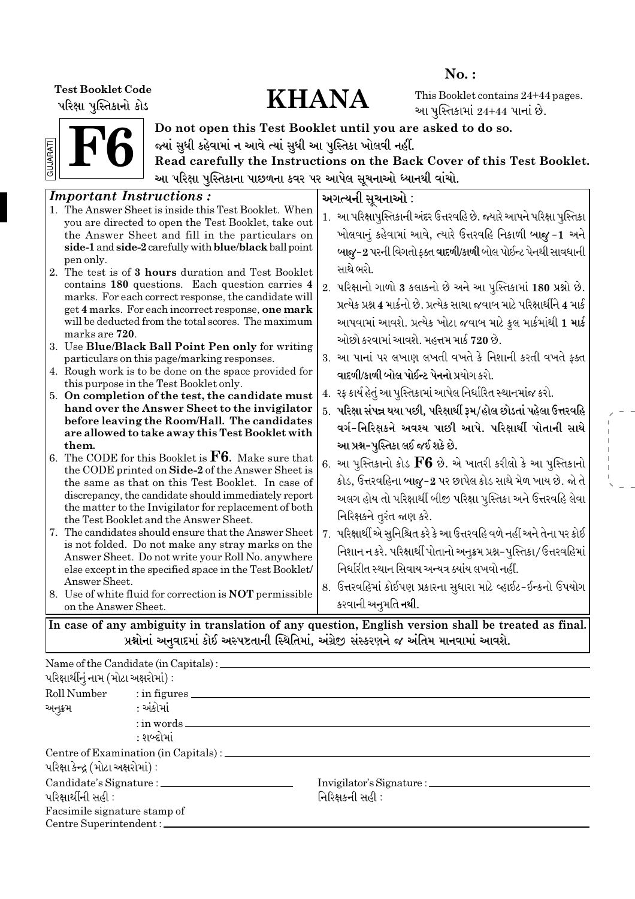પરિક્ષા પુસ્તિકાનો કોડ

# Test Booklet Code<br>| Mari | Mariah Also

No. :

This Booklet contains 24+44 pages. આ પુસ્તિકામાં  $24+44$  પાનાં છે.



Do not open this Test Booklet until you are asked to do so. જ્યાં સુધી કહેવામાં ન આવે ત્યાં સુધી આ પુસ્તિકા ખોલવી નહીં.

Read carefully the Instructions on the Back Cover of this Test Booklet. આ પરિક્ષા પુસ્તિકાના પાછળના કવર પર આપેલ સૂચનાઓ ધ્યાનથી વાંચો.

| 1. આ પરિક્ષાપુસ્તિકાની અંદર ઉત્તરવહિ છે. જ્યારે આપને પરિક્ષા પુસ્તિકા<br>you are directed to open the Test Booklet, take out<br>ખોલવાનું કહેવામાં આવે, ત્યારે ઉત્તરવહિ નિકાળી બાજુ -1 અને<br>the Answer Sheet and fill in the particulars on<br>side-1 and side-2 carefully with blue/black ball point<br>બાજુ-2 પરની વિગતો ફક્ત વાદળી/કાળી બોલ પોઈન્ટ પેનથી સાવધાની<br>pen only.<br>સાથે ભરો.<br>contains 180 questions. Each question carries 4<br>2. પરિક્ષાનો ગાળો 3 કલાકનો છે અને આ પુસ્તિકામાં 180 પ્રશ્નો છે.<br>marks. For each correct response, the candidate will<br>પ્રત્યેક પ્રશ્ન 4 માર્કનો છે. પ્રત્યેક સાચા જવાબ માટે પરિક્ષાર્થીને 4 માર્ક<br>get 4 marks. For each incorrect response, one mark<br>આપવામાં આવશે. પ્રત્યેક ખોટા જવાબ માટે કુલ માર્કમાંથી 1 <b>માર્ક</b><br>will be deducted from the total scores. The maximum<br>marks are 720.<br>ઓછો કરવામાં આવશે. મહત્તમ માર્ક 720 છે.<br>3. આ પાનાં પર લખાણ લખતી વખતે કે નિશાની કરતી વખતે ફક્ત<br>particulars on this page/marking responses.<br>4. Rough work is to be done on the space provided for<br>વાદળી/કાળી બોલ પોઈન્ટ પેનનો પ્રયોગ કરો.<br>this purpose in the Test Booklet only.<br>4.   રફ કાર્ય હેતું આ પુસ્તિકામાં આપેલ નિર્ધારિત સ્થાનમાંજ કરો.<br>hand over the Answer Sheet to the invigilator<br>5. પરિક્ષા સંપન્ન થયા પછી, પરિક્ષાર્થી રૂમ/હોલ છોડતાં પહેલા ઉત્તરવહિ<br>before leaving the Room/Hall. The candidates<br>વર્ગ-નિરિક્ષકને અવશ્ય પાછી આપે. પરિક્ષાર્થી પોતાની સાથે<br>are allowed to take away this Test Booklet with<br>આ પ્રશ્ન-પુસ્તિકા લઈ જઈ શકે છે.<br>them.<br>6. આ પુસ્તિકાનો કોડ $\rm{F6}$ છે. એ ખાતરી કરીલો કે આ પુસ્તિકાનો<br>the CODE printed on Side-2 of the Answer Sheet is<br>કોડ, ઉત્તરવહિના બાજુ-2 પર છાપેલ કોડ સાથે મેળ ખાય છે. જો તે<br>the same as that on this Test Booklet. In case of<br>discrepancy, the candidate should immediately report<br>અલગ હોય તો પરિક્ષાર્થી બીજી પરિક્ષા પુસ્તિકા અને ઉત્તરવહિ લેવા<br>the matter to the Invigilator for replacement of both<br>નિરિક્ષકને તુરંત જાણ કરે.<br>the Test Booklet and the Answer Sheet.<br>7. પરિક્ષાર્થી એ સુનિશ્ચિત કરે કે આ ઉત્તરવહિ વળે નહીં અને તેના પર કોઈ<br>is not folded. Do not make any stray marks on the<br>નિશાન ન કરે. પરિક્ષાર્થી પોતાનો અનુક્રમ પ્રશ્ન-પુસ્તિકા/ઉત્તરવહિમાં<br>Answer Sheet. Do not write your Roll No. anywhere<br>નિર્ધારીત સ્થાન સિવાય અન્યત્ર ક્યાંય લખવો નહીં.<br>else except in the specified space in the Test Booklet/<br>Answer Sheet.<br>8.  ઉત્તરવહિમાં કોઈપણ પ્રકારના સુધારા માટે વ્હાઈટ-ઈન્કનો ઉપયોગ<br>કરવાની અનુમતિ <b>નથી</b> .<br>on the Answer Sheet.<br>In case of any ambiguity in translation of any question, English version shall be treated as final. | <b>Important Instructions:</b>                                                                                                                                                            | અગત્યની સૂચનાઓ : |
|------------------------------------------------------------------------------------------------------------------------------------------------------------------------------------------------------------------------------------------------------------------------------------------------------------------------------------------------------------------------------------------------------------------------------------------------------------------------------------------------------------------------------------------------------------------------------------------------------------------------------------------------------------------------------------------------------------------------------------------------------------------------------------------------------------------------------------------------------------------------------------------------------------------------------------------------------------------------------------------------------------------------------------------------------------------------------------------------------------------------------------------------------------------------------------------------------------------------------------------------------------------------------------------------------------------------------------------------------------------------------------------------------------------------------------------------------------------------------------------------------------------------------------------------------------------------------------------------------------------------------------------------------------------------------------------------------------------------------------------------------------------------------------------------------------------------------------------------------------------------------------------------------------------------------------------------------------------------------------------------------------------------------------------------------------------------------------------------------------------------------------------------------------------------------------------------------------------------------------------------------------------------------------------------------------------------------------------------------------------------------------------------------------------------------------------------------------------------------------------------------------------------------------------------------------------------------------------------------------------------------------------------------------------------------------------------------|-------------------------------------------------------------------------------------------------------------------------------------------------------------------------------------------|------------------|
|                                                                                                                                                                                                                                                                                                                                                                                                                                                                                                                                                                                                                                                                                                                                                                                                                                                                                                                                                                                                                                                                                                                                                                                                                                                                                                                                                                                                                                                                                                                                                                                                                                                                                                                                                                                                                                                                                                                                                                                                                                                                                                                                                                                                                                                                                                                                                                                                                                                                                                                                                                                                                                                                                                      | 1. The Answer Sheet is inside this Test Booklet. When                                                                                                                                     |                  |
|                                                                                                                                                                                                                                                                                                                                                                                                                                                                                                                                                                                                                                                                                                                                                                                                                                                                                                                                                                                                                                                                                                                                                                                                                                                                                                                                                                                                                                                                                                                                                                                                                                                                                                                                                                                                                                                                                                                                                                                                                                                                                                                                                                                                                                                                                                                                                                                                                                                                                                                                                                                                                                                                                                      | 2. The test is of 3 hours duration and Test Booklet                                                                                                                                       |                  |
|                                                                                                                                                                                                                                                                                                                                                                                                                                                                                                                                                                                                                                                                                                                                                                                                                                                                                                                                                                                                                                                                                                                                                                                                                                                                                                                                                                                                                                                                                                                                                                                                                                                                                                                                                                                                                                                                                                                                                                                                                                                                                                                                                                                                                                                                                                                                                                                                                                                                                                                                                                                                                                                                                                      | 3. Use Blue/Black Ball Point Pen only for writing                                                                                                                                         |                  |
|                                                                                                                                                                                                                                                                                                                                                                                                                                                                                                                                                                                                                                                                                                                                                                                                                                                                                                                                                                                                                                                                                                                                                                                                                                                                                                                                                                                                                                                                                                                                                                                                                                                                                                                                                                                                                                                                                                                                                                                                                                                                                                                                                                                                                                                                                                                                                                                                                                                                                                                                                                                                                                                                                                      | 5. On completion of the test, the candidate must                                                                                                                                          |                  |
|                                                                                                                                                                                                                                                                                                                                                                                                                                                                                                                                                                                                                                                                                                                                                                                                                                                                                                                                                                                                                                                                                                                                                                                                                                                                                                                                                                                                                                                                                                                                                                                                                                                                                                                                                                                                                                                                                                                                                                                                                                                                                                                                                                                                                                                                                                                                                                                                                                                                                                                                                                                                                                                                                                      | 6. The CODE for this Booklet is $\mathbf{F6}$ . Make sure that<br>7. The candidates should ensure that the Answer Sheet<br>8. Use of white fluid for correction is <b>NOT</b> permissible |                  |
|                                                                                                                                                                                                                                                                                                                                                                                                                                                                                                                                                                                                                                                                                                                                                                                                                                                                                                                                                                                                                                                                                                                                                                                                                                                                                                                                                                                                                                                                                                                                                                                                                                                                                                                                                                                                                                                                                                                                                                                                                                                                                                                                                                                                                                                                                                                                                                                                                                                                                                                                                                                                                                                                                                      |                                                                                                                                                                                           |                  |

પ્રશ્નોનાં અનુવાદમાં કોઈ અસ્પષ્ટતાની સ્થિતિમાં, અંગ્રેજી સંસ્કરણને જ અંતિમ માનવામાં આવશે.

|                                       | Name of the Candidate (in Capitals) : ________     |                  |  |
|---------------------------------------|----------------------------------------------------|------------------|--|
| પરિક્ષાર્થીનું નામ (મોટા અક્ષરોમાં) : |                                                    |                  |  |
|                                       | Roll Number : in figures                           |                  |  |
| અનૂક્રમ                               | : અંકોમાં                                          |                  |  |
|                                       | $:$ in words $\_\_$                                |                  |  |
|                                       | : શબ્દોમાં                                         |                  |  |
|                                       | Centre of Examination (in Capitals) : ____________ |                  |  |
| પરિક્ષા કેન્દ્ર (મોટા અક્ષરોમાં) :    |                                                    |                  |  |
|                                       |                                                    |                  |  |
| પરિક્ષાર્થીની સહી :                   |                                                    | નિરિક્ષકની સહી : |  |
| Facsimile signature stamp of          |                                                    |                  |  |
| Centre Superintendent:                |                                                    |                  |  |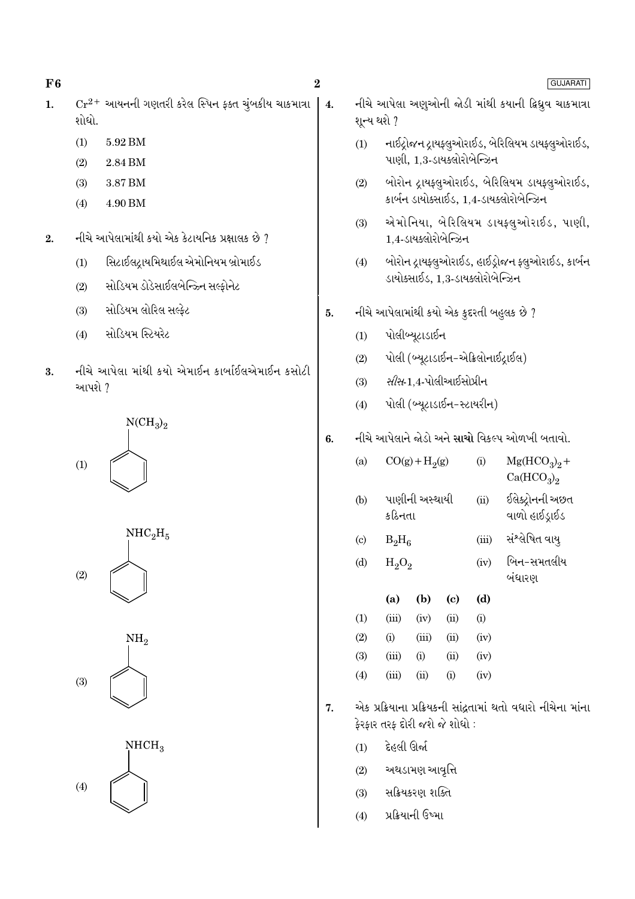$F6$ 

- $Cr^{2+}$  આયનની ગણતરી કરેલ સ્પિન ફક્ત ચૂંબકીય ચાકમાત્રા  $\mathbf{1}$ . શોધો.
	- $(1)$ 5.92 BM
	- $(2)$ 2.84 BM
	- 3.87 BM  $(3)$
	- 4.90 BM  $(4)$
- નીચે આપેલામાંથી કયો એક કેટાયનિક પ્રક્ષાલક છે ?  $2.$ 
	- સિટાઈલદ્રાયમિથાઈલ એમોનિયમ બ્રોમાઈડ  $(1)$
	- સોડિયમ ડોડેસાઈલબેન્ઝ્ર્નિ સલ્ફોનેટ  $(2)$
	- સોડિયમ લોરિલ સલ્કેટ  $(3)$
	- સોડિયમ સ્ટિયરેટ  $(4)$
- નીચે આપેલા માંથી કયો એમાઈન કાર્બાઈલએમાઈન કસોટી  $3.$ આપશે ?

 $NCH<sub>3</sub>$ <sub>2</sub>  $(1)$ 



 $NH<sub>2</sub>$ 

 $(3)$ 



 $\overline{4}$ .

- GUJARATI
- નીચે આપેલા અણુઓની જોડી માંથી કયાની ફ્રિધ્રુવ ચાકમાત્રા શૂન્ય થશે ? નાઈટ્રોજન ટ્રાયફ્લુઓરાઈડ, બેરિલિયમ ડાયફ્લુઓરાઈડ,  $(1)$ પાણી, 1.3-ડાયક્લોરોબેન્ઝિન
- બોરોન દ્રાયફ્લુઓરાઈડ, બેરિલિયમ ડાયફ્લુઓરાઈડ,  $(2)$ કાર્બન ડાયોક્સાઈડ, 1,4-ડાયક્લોરોબેન્ઝિન
- એમોનિયા, બેરિલિયમ ડાયફ્લુઓરાઈડ, પાણી,  $(3)$ 1,4-ડાયક્લોરોબેન્ઝિન
- બોરોન દ્રાયફ્લુઓરાઈડ, હાઈડ્રોજન ફ્લુઓરાઈડ, કાર્બન  $(4)$ ડાયોક્સાઈડ. 1.3-ડાયક્લોરોબેન્ઝિન
- નીચે આપેલામાંથી કયો એક કુદરતી બહુલક છે ? 5.
	- પોલીબ્યુટાડાઈન  $(1)$
	- પોલી (બ્યૂટાડાઈન-એક્રિલોનાઈટ્રાઈલ)  $(2)$
	- *સીસ*-1.4-પોલીઆઈસોપ્રીન  $(3)$
	- પોલી (બ્યૂટાડાઈન-સ્ટાયરીન)  $(4)$

#### નીચે આપેલાને જોડો અને <mark>સાચો</mark> વિકલ્પ ઓળખી બતાવો. 6.

| (a)                        |          | $CO(g) + H2(g)$ |            | (i)   | $Mg(HCO3)2 +$<br>Ca(HCO <sub>3</sub> ) <sub>2</sub> |  |  |  |  |  |
|----------------------------|----------|-----------------|------------|-------|-----------------------------------------------------|--|--|--|--|--|
| (b)                        | કઠિનતા   | પાણીની અસ્થાયી  |            | (ii)  | ઈલેક્ટ્રોનની અછત<br>વાળો હાઈડ્રાઈડ                  |  |  |  |  |  |
| $\left( \mathrm{c}\right)$ | $B_2H_6$ |                 |            | (iii) | સંશ્લેષિત વાય્                                      |  |  |  |  |  |
| (d)                        | $H_2O_2$ |                 |            | (iv)  | બિન-સમતલીય<br>બંધારણ                                |  |  |  |  |  |
|                            | (a)      | (b)             | (c)        | (d)   |                                                     |  |  |  |  |  |
| (1)                        | (iii)    | (iv)            | (ii)       | (i)   |                                                     |  |  |  |  |  |
| (2)                        | (i)      | (iii)           | (ii)       | (iv)  |                                                     |  |  |  |  |  |
| (3)                        | (iii)    | $\rm(i)$        | $\rm (ii)$ | (iv)  |                                                     |  |  |  |  |  |

એક પ્રક્રિયાના પ્રક્રિયકની સાંઢતામાં થતો વધારો નીચેના માંના  $\overline{7}$ . કેરકાર તરક દોરી જશે જે શોધો:

 $(i)$ 

 $(iv)$ 

દેહલી ઊર્જા  $(1)$ 

 $(iii)$ 

 $(ii)$ 

 $(4)$ 

- અથડામણ આવૃત્તિ  $(2)$
- સક્રિયકરણ શક્તિ  $(3)$
- प्रक्रियानी ઉष्भा  $(4)$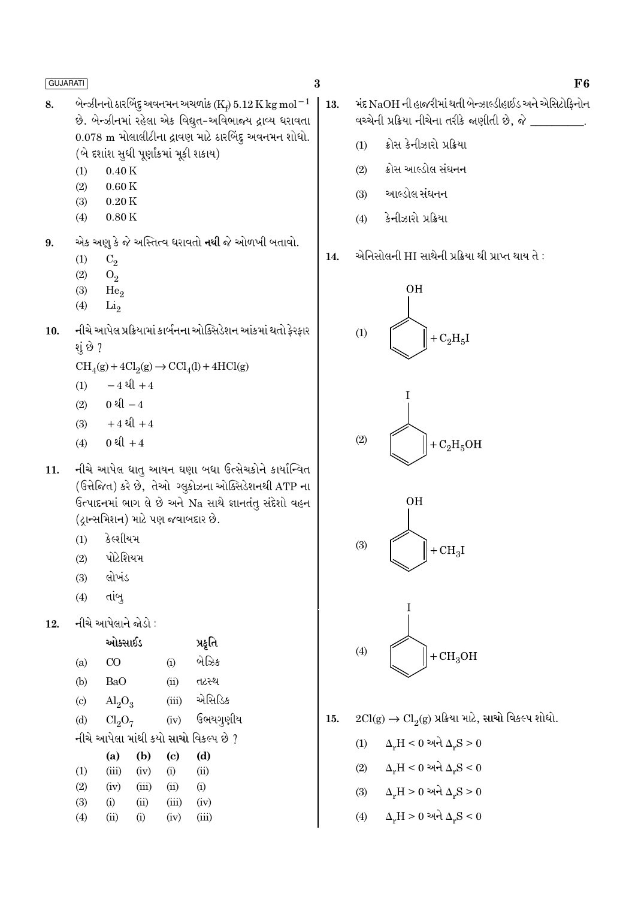- બેન્ઝીનનો ઠારબિંદુ અવનમન અચળાંક ( $\mathrm{K}_e$ )  $5.12\,\mathrm{K}\,\mathrm{kg}\,\mathrm{mol}^{-1}$ 8. છે. બેન્ઝીનમાં રહેલા એક વિદ્યુત-અવિભાજય દ્રાવ્ય ધરાવતા 0.078 m મોલાલીટીના દ્રાવણ માટે ઠારબિંદુ અવનમન શોધો. (બે દર્શારા સુધી પૂર્ણાંકમાં મૂકી શકાય)
	- $0.40K$  $(1)$
	- $0.60K$  $(2)$
	- $0.20K$  $(3)$
	- $0.80K$  $(4)$
- એક અણુ કે જે અસ્તિત્વ ધરાવતો નથી જે ઓળખી બતાવો. 9.
	- $(1)$  $C_2$
	- $(2)$  $O<sub>2</sub>$
	- $(3)$  $He<sub>2</sub>$
	- $(4)$  $Li<sub>2</sub>$
- નીચે આપેલ પ્રક્રિયામાં કાર્બનના ઓક્સિડેશન આંકમાં થતો ફેરફાર  $10.$ શું છે ?
	- $\text{CH}_4(g) + 4\text{Cl}_2(g) \rightarrow \text{CCl}_4(l) + 4\text{HCl}(g)$
	- $-4$  થી +4  $(1)$
	- 0 થી  $-4$  $(2)$
	- $+4$  થી  $+4$  $(3)$
	- 0  $l + 4$  $(4)$
- નીચે આપેલ ધાત્ આયન ઘણા બધા ઉત્સેચકોને કાર્યાન્વિત 11. (ઉત્તેજિત) કરે છે, તેઓ ગ્લુકોઝના ઓક્સિડેશનથી ATP ના ઉત્પાદનમાં ભાગ લે છે અને Na સાથે જ્ઞાનતંતુ સંદેશો વહન (ટ્રાન્સમિશન) માટે પણ જવાબદાર છે.
	- કેલ્શીયમ  $(1)$
	- પોટેશિયમ  $(2)$
	- $(3)$ લોખંડ
	- $(4)$ તાંબ
- નીચે આપેલાને જોડો : 12.

|                             | ઓક્સાઈડ                        |       |       | પ્રકૃતિ                               |
|-----------------------------|--------------------------------|-------|-------|---------------------------------------|
| (a)                         | CO                             |       | (i)   | બેઝિક                                 |
| (b)                         | BaO                            |       | (ii)  | તટસ્થ                                 |
| $\left( \mathrm{c} \right)$ | $\text{Al}_2\text{O}_3$        |       | (iii) | એસિડિક                                |
| (d)                         | Cl <sub>2</sub> O <sub>7</sub> |       | (iv)  | ઉભયગુણીય                              |
|                             |                                |       |       | નીચે આપેલા માંથી કયો સાચો વિકલ્પ છે ? |
|                             | (a)                            | (b)   | (c)   | (d)                                   |
| (1)                         | (iii)                          | (iv)  | (i)   | (ii)                                  |
| (2)                         | (iv)                           | (iii) | (ii)  | (i)                                   |
| (3)                         | (i)                            | (ii)  | (iii) | (iv)                                  |
| (4)                         | (ii)                           | (i)   | (iv)  | (iii)                                 |

- મંદ NaOH ની હાજરીમાં થતી બેન્ઝાલ્ડીહાઈડ અને એસિટોકિનોન 13. વચ્ચેની પ્રક્રિયા નીચેના તરીકે જાણીતી છે, જે \_\_\_
	- ક્રોસ કેનીઝારો પ્રક્રિયા  $(1)$
	- ક્રોસ આલ્ડોલ સંઘનન  $(2)$
	- આલ્ડોલ સંઘનન  $(3)$
	- કેનીઝારો પ્રક્રિયા  $(4)$
- એનિસોલની HI સાથેની પ્રક્રિયા થી પ્રાપ્ત થાય તે : 14.









- $2Cl(g) \rightarrow Cl_2(g)$  પ્રક્રિયા માટે, સાચો વિકલ્પ શોધો.  $15.$ 
	- $\Delta_r H < 0$  અને  $\Delta_r S > 0$  $(1)$
	- $\Delta_r H < 0$  અને  $\Delta_r S < 0$  $(2)$
	- $\Delta_r H > 0$  અને  $\Delta_r S > 0$  $(3)$
	- $\Delta_r H > 0$  અને  $\Delta_r S < 0$  $(4)$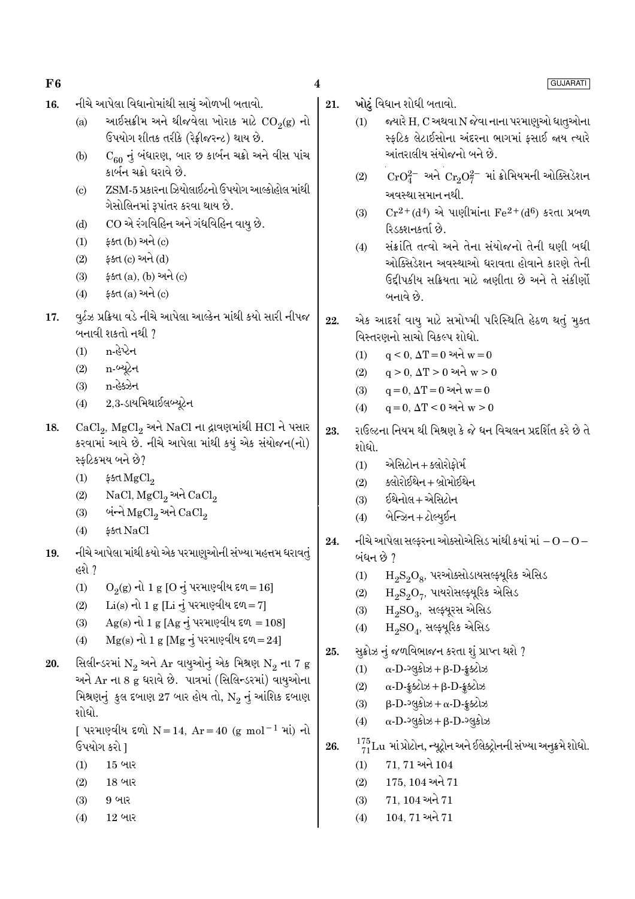| F6  |                                                                                                                                                                  | 4   | <b>GUJARATI</b>                                                                                                           |
|-----|------------------------------------------------------------------------------------------------------------------------------------------------------------------|-----|---------------------------------------------------------------------------------------------------------------------------|
| 16. | નીચે આપેલા વિધાનોમાંથી સાચું ઓળખી બતાવો.<br>આઈસક્રીમ અને થીજવેલા ખોરાક માટે $\mathrm{CO}_2(\mathrm{g})$ નો<br>(a)                                                | 21. | ખોટું વિધાન શોધી બતાવો.<br>જ્યારે H, C અથવા N જેવા નાના પરમાણુઓ ધાતુઓના<br>(1)                                            |
|     | ઉપયોગ શીતક તરીકે (રેફ્રીજરન્ટ) થાય છે.<br>$C_{60}$ નું બંધારણ, બાર છ કાર્બન ચક્રો અને વીસ પાંચ<br>(b)                                                            |     | સ્ફટિક લેટાઈસોના અંદરના ભાગમાં ફસાઈ જાય ત્યારે<br>આંતરાલીય સંયોજનો બને છે.                                                |
|     | કાર્બન ચક્રો ધરાવે છે.<br>ZSM-5 પ્રકારના ઝિયોલાઈટનો ઉપયોગ આલ્કોહોલ માંથી<br>$\left( \text{c} \right)$<br>ગેસોલિનમાં રૂપાંતર કરવા થાય છે.                         |     | $\text{CrO}_4^{2-}$ અને $\text{Cr}_2\text{O}_7^{2-}$ માં ક્રોમિયમની ઓક્સિડેશન<br>(2)<br>અવસ્થા સમાન નથી.                  |
|     | CO એ રંગવિહિન અને ગંધવિહિન વાયુ છે.<br>(d)                                                                                                                       |     | $Cr^{2+}(d^4)$ એ પાણીમાંના $Fe^{2+}(d^6)$ કરતા પ્રબળ<br>(3)<br>રિડક્શનકર્તા છે.                                           |
|     | ફક્ત (b) અને (c)<br>(1)<br>ફક્ત (c) અને (d)<br>(2)                                                                                                               |     | સંક્રાંતિ તત્વો અને તેના સંયોજનો તેની ઘણી બધી<br>(4)<br>ઓક્સિડેશન અવસ્થાઓ ધરાવતા હોવાને કારણે તેની                        |
|     | ફક્ત $(a)$ , $(b)$ અને $(c)$<br>(3)<br>ફક્ત (a) અને (c)<br>(4)                                                                                                   |     | ઉદ્દીપકીય સક્રિયતા માટે જણીતા છે અને તે સંકીર્ણો<br>બનાવે છે.                                                             |
| 17. | વુર્ટઝ પ્રક્રિયા વડે નીચે આપેલા આલ્કેન માંથી કયો સારી નીપજ<br>બનાવી શકતો નથી ?<br>n-હેપ્ટેન<br>(1)                                                               | 22. | એક આદર્શ વાયુ માટે સમોષ્મી પરિસ્થિતિ હેઠળ થતું મુક્ત<br>વિસ્તરણનો સાચો વિકલ્પ શોધો.                                       |
|     | n-બ્યૂટેન<br>(2)<br>n-હેક્ઝેન<br>(3)                                                                                                                             |     | $q < 0$ , $\Delta T = 0$ અને $w = 0$<br>(1)<br>$q > 0$ , $\Delta T > 0$ અને $w > 0$<br>(2)                                |
|     | $2,3$ -ડાયમિથાઈલબ્યૂટેન<br>(4)                                                                                                                                   |     | $q = 0, \, \Delta T = 0$ અને $w = 0$<br>(3)<br>$q = 0, \Delta T < 0$ અને $w > 0$<br>(4)                                   |
| 18. | $\operatorname{CaCl}_2$ , $\operatorname{MgCl}_2$ અને NaCl ના દ્રાવણમાંથી HCl ને પસાર<br>કરવામાં આવે છે. નીચે આપેલા માંથી કયું એક સંયોજન(નો)<br>સ્ફટિકમય બને છે? | 23. | રાઉલ્ટના નિયમ થી મિશ્રણ કે જે ધન વિચલન પ્રદર્શિત કરે છે તે<br>શોધો.<br>એસિટોન + ક્લોરોફોર્મ<br>(1)                        |
|     | ई उत्त $MgCl2$<br>(1)<br>$NaCl, MgCl2$ અને $CaCl2$<br>(2)                                                                                                        |     | ક્લોરોઈથેન + બ્રોમોઈથેન<br>(2)                                                                                            |
|     | બંન્ને ${ {\rm MgCl}_2}$ અને ${ {\rm CaCl}_2}$<br>(3)                                                                                                            |     | ઈથેનોલ+એસિટોન<br>(3)<br>બેન્ઝિન + ટોલ્યુઈન<br>(4)                                                                         |
| 19. | \$ধ NaCl<br>(4)<br>નીચે આપેલા માંથી કયો એક પરમાણુઓની સંખ્યા મહત્તમ ધરાવતું                                                                                       | 24. | નીચે આપેલા સલ્ફરના ઓક્સોએસિડ માંથી કયાં માં $-O$ – $O-$<br>બંધન છે ?                                                      |
|     | હશે ?<br>$O_2(g)$ નો 1 g [O નું પરમાણ્વીય દળ=16]<br>(1)                                                                                                          |     | $H_2S_2O_8$ , પરઓક્સોડાયસલ્ફ્યૂરિક એસિડ<br>(1)<br>$\mathrm{H_{2}S_{2}O_{7}}$ , પાયરોસલ્ફ્યૂરિક એસિડ<br>(2)                |
|     | $Li(s)$ નો 1 g [Li નું પરમાણ્વીય દળ=7]<br>(2)<br>$Ag(s)$ નો 1 g [Ag નું પરમાણ્વીય દળ = 108]<br>(3)                                                               |     | $H_2SO_3$ , સલ્ફ્યૂરસ એસિડ<br>(3)<br>$H_2SO_4$ , સલ્ફ્યૂરિક એસિડ<br>(4)                                                   |
| 20. | $Mg(s)$ નો 1 g [Mg નું પરમાણ્વીય દળ=24]<br>(4)<br>સિલીન્ડરમાં $N_2$ અને Ar વાયુઓનું એક મિશ્રણ $N_2$ ના 7 g                                                       | 25. | સુક્રોઝ નું જળવિભાજન કરતા શું પ્રાપ્ત થશે ?                                                                               |
|     | અને Ar ના 8 g ધરાવે છે. પાત્રમાં (સિલિન્ડરમાં) વાયુઓના<br>મિશ્રણનું કુલ દબાણ 27 બાર હોય તો, $\mathrm{N}_2$ નું આંશિક દબાણ                                        |     | $\alpha$ -D-2gslos + $\beta$ -D- $\S$ sclos<br>(1)<br>$\alpha$ -D- $\S$ scl $\beta$ + $\beta$ -D- $\S$ scl $\beta$<br>(2) |
|     | શોધો.<br>[ પરમાણ્વીય દળો N = 14, Ar = 40 (g mol <sup>-1</sup> માં) નો                                                                                            |     | $\beta$ -D- $\log$ કોઝ + $\alpha$ -D-ક્રૂક્ટોઝ<br>(3)<br>$\alpha$ -D- $\log$ કોઝ + $\beta$ -D- $\log$ કોઝ<br>(4)          |
|     | ઉપયોગ કરો ]                                                                                                                                                      | 26. | $\frac{175}{71}$ Lu માં પ્રોટોન, ન્યૂટ્રોન અને ઈલેક્ટ્રોનની સંખ્યા અનુક્રમે શોધો.                                         |
|     | (1)<br>$15$ બાર<br>(2)<br>18 બાર                                                                                                                                 |     | $71, 71$ અને $104$<br>(1)<br>$175, 104$ અને $71$<br>(2)                                                                   |
|     | $9$ બાર<br>(3)<br>$12$ બાર<br>(4)                                                                                                                                |     | $71, 104$ અને $71$<br>(3)<br>$104, 71$ અને $71$<br>(4)                                                                    |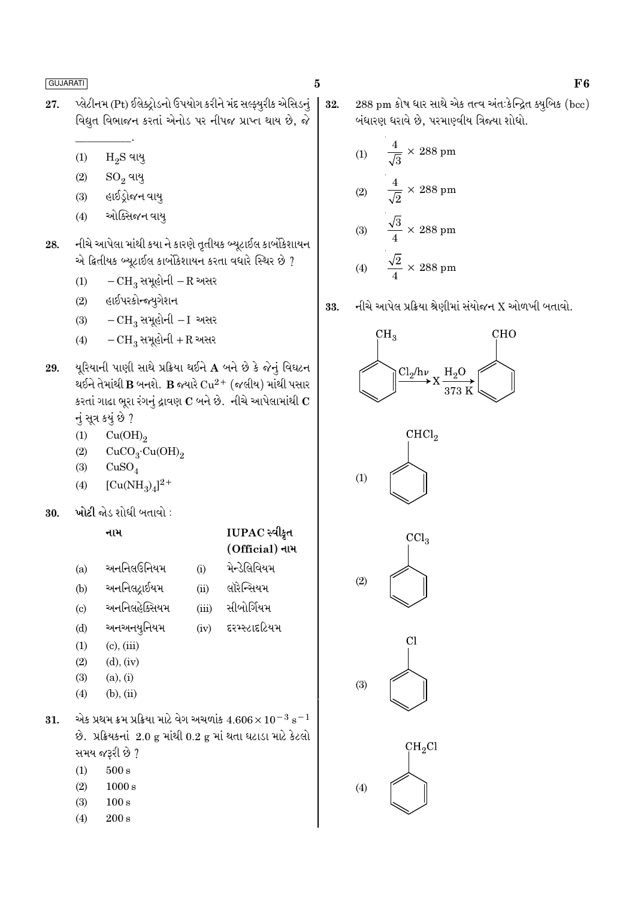- પ્લેટીનમ (Pt) ઈલેક્ટ્રોડનો ઉપયોગ કરીને મંદ સલ્ફ્યુરીક એસિડનું 27. વિદ્યુત વિભાજન કરતાં એનોડ પર નીપજ પ્રાપ્ત થાય છે, જે
	- $\rm H_2S$  વાયુ  $(1)$
	- $(2)$  $SO_2$  વાયુ
	- હાઈડ્રોજન વાયુ  $(3)$
	- ઓક્સિજન વાય્  $(4)$
- નીચે આપેલા માંથી કયા ને કારણે તૃતીયક બ્યૂટાઈલ કાર્બોકેશાયન 28. એ દ્વિતીયક બ્યૂટાઈલ કાર્બોકેશાયન કરતા વધારે સ્થિર છે ?
	- $-CH_3$  સમૂહોની  $-R$  અસર  $(1)$
	- હાઈપરકોન્જ્યુગેશન  $(2)$
	- $-CH_3$  સમૂહોની  $-I$  અસર  $(3)$
	- $-CH_3$  સમૂહોની + R અસર  $(4)$
- યૂરિયાની પાણી સાથે પ્રક્રિયા થઈને A બને છે કે જેનું વિઘટન 29. યઈને તેમાંથી  ${\bf B}$  બનશે.  ${\bf B}$  જ્યારે  ${\rm Cu}^{2+}$  (જલીય) માંથી પસાર કરતાં ગાઢા ભૂરા રંગનું દ્રાવણ  $\mathbf C$  બને છે. નીચે આપેલામાંથી  $\mathbf C$ નું સૂત્ર કયું છે ?
	- $(1)$  $Cu(OH)<sub>2</sub>$
	- $CuCO<sub>3</sub>·Cu(OH)<sub>2</sub>$  $(2)$
	- $(3)$  $CuSO<sub>4</sub>$
	- $[Cu(NH<sub>2</sub>)<sub>4</sub>]<sup>2+</sup>$  $(4)$
- ખોટી જોડ શોધી બતાવો : 30.

|                            | નામ                                                                     |       | $IUPAC$ સ્વીકૃત |
|----------------------------|-------------------------------------------------------------------------|-------|-----------------|
|                            |                                                                         |       | (Official) નામ  |
| (a)                        | અનનિલઉનિયમ                                                              | (i)   | મેન્ડેલિવિયમ    |
| (b)                        | અનનિલદ્રાઈયમ                                                            | (ii)  | લૉરેન્સિયમ      |
| $\left( \mathrm{c}\right)$ | અનનિલહેક્સિયમ                                                           | (iii) | સીબોર્ગિયમ      |
| (d)                        | અનઅનયુનિયમ                                                              | (iv)  | દરમ્સ્ટાદટિયમ   |
| (1)                        | $(c)$ , $(iii)$                                                         |       |                 |
| (2)                        | $(d)$ , $(iv)$                                                          |       |                 |
| (3)                        | (a), (i)                                                                |       |                 |
| (4)                        | $(b)$ , $(ii)$                                                          |       |                 |
|                            | એક પ્રથમ ક્રમ પ્રક્રિયા માટે વેગ અચળાંક $4.606\times10^{-3}~\rm s^{-1}$ |       |                 |
|                            | છે. પ્રક્રિયકનાં 2.0 g માંથી 0.2 g માં થતા ઘટાડા માટે કેટલો             |       |                 |
|                            | સમય જરૂરી છે ?                                                          |       |                 |
|                            |                                                                         |       |                 |

 $(1)$  $500 s$ 

31.

- $(2)$  $1000 s$
- $(3)$  $100 s$
- $200 s$  $(4)$

 $\times$  288 pm  $(1)$  $\frac{4}{\sqrt{2}} \times 288$  pm  $(2)$  $\frac{\sqrt{3}}{4} \times 288$  pm  $(3)$ 

 $\bf{5}$ 

 $\frac{\sqrt{2}}{4} \times 288$  pm  $(4)$ 











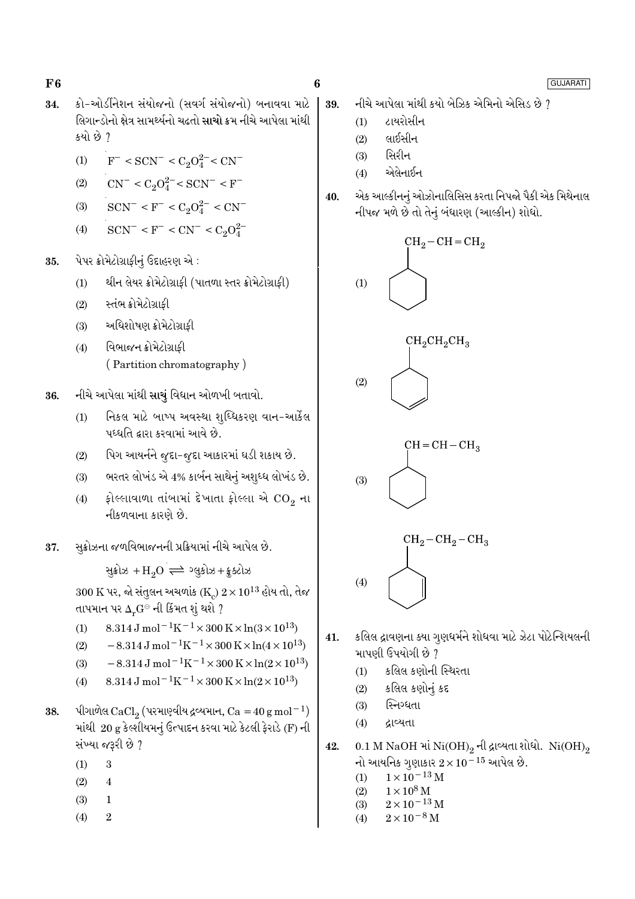$F6$ 

- કો-ઓર્ડીનેશન સંયોજનો (સવર્ગ સંયોજનો) બનાવવા માટે 34. લિગાન્ડોનો ક્ષેત્ર સામર્થ્યનો ચઢતો સાચો ક્રમ નીચે આપેલા માંથી કયો છે ?
	- $F^-$  < SCN<sup>-</sup> < C<sub>2</sub>O<sub>4</sub><sup>2</sup><sup>-</sup> < CN<sup>-</sup>  $(1)$
	- $CN^{-} < C_2O_4^{2-} < SCN^{-} < F^{-}$  $(2)$
	- $SCN^- < F^- < C_2O_4^{2-} < CN^ (3)$
	- $SCN^- < F^- < CN^- < C_2O_4^{2-}$  $(4)$
- પેપર ક્રોમેટોગ્રાફીનું ઉદાહરણ એ : 35.
	- થીન લેયર ક્રોમેટોગ્રાફી (પાતળા સ્તર ક્રોમેટોગ્રાફી)  $(1)$
	- સ્તંભ ક્રોમેટોગ્રાફી  $(2)$
	- અધિશોષણ ક્રોમેટોગ્રાકી  $(3)$
	- વિભાજન ક્રોમેટોગ્રાકી  $(4)$ (Partition chromatography)
- નીચે આપેલા માંથી સાચું વિધાન ઓળખી બતાવો. 36.
	- નિકલ માટે બાષ્પ અવસ્થા શઘ્ધિકરણ વાન-આર્કેલ  $(1)$ પઘ્ધતિ દ્વારા કરવામાં આવે છે.
	- પિગ આયર્નને જુદા-જુદા આકારમાં ઘડી શકાય છે.  $(2)$
	- ભરતર લોખંડ એ 4% કાર્બન સાથેનું અશુધ્ધ લોખંડ છે.  $(3)$
	- ફોલ્લાવાળા તાંબામાં દેખાતા ફોલ્લા એ  $\mathrm{CO}_2$  ના  $(4)$ નીકળવાના કારણે છે.
- સક્રોઝના જળવિભાજનની પ્રક્રિયામાં નીચે આપેલ છે. 37.

સૂક્રોઝ + $H_2O \rightleftharpoons 29.3 + 25.3$ 

 $300 \text{ K}$  પર, જો સંતુલન અચળાંક (K<sub>c</sub>)  $2 \times 10^{13}$  હોય તો, તેજ તાપમાન પર  $\Delta_r G^\ominus$  ની કિંમત શું થશે ?

- $8.314 \text{ J} \text{ mol}^{-1} \text{K}^{-1} \times 300 \text{ K} \times \ln(3 \times 10^{13})$  $(1)$
- $-8.314 \,\mathrm{J} \,\mathrm{mol}^{-1} \mathrm{K}^{-1} \times 300 \,\mathrm{K} \times \ln(4 \times 10^{13})$  $(2)$
- $-8.314 \,\mathrm{J}$  mol<sup>-1</sup>K<sup>-1</sup>×300 K×ln(2×10<sup>13</sup>)  $(3)$
- $8.314 \text{ J} \text{ mol}^{-1} \text{K}^{-1} \times 300 \text{ K} \times \ln(2 \times 10^{13})$  $(4)$
- પીગાળેલ CaCl, (પરમાણ્વીય દ્રવ્યમાન, Ca = 40 g mol<sup>-1</sup>) 38. માંથી 20 g કેલ્શીયમનું ઉત્પાદન કરવા માટે કેટલી ફેરાડે (F) ની સંખ્યા જરૂરી છે ?
	- $\overline{3}$  $(1)$
	- $(2)$  $\overline{4}$
	- $(3)$  $\mathbf{1}$
	- $\overline{2}$  $(4)$

GUJARATI

- નીચે આપેલા માંથી કયો બેઝિક એમિનો એસિડ છે ? 39.
	- ટાયરોસીન  $(1)$
	- લાઈસીન  $(2)$
	- સિરીન  $(3)$
	- એલેનાઈન  $(4)$
- એક આલ્કીનનું ઓઝોનાલિસિસ કરતા નિપજો પૈકી એક મિથેનાલ 40. નીપજ મળે છે તો તેનું બંધારણ (આલ્કીન) શોધો.









- કલિલ દ્રાવણના ક્યા ગુણધર્મને શોધવા માટે ઝેટા પોટેન્શિયલની 41. માપણી ઉપયોગી છે ?
	- કલિલ કણોની સ્થિરતા  $(1)$
	- કલિલ કણોનું કદ  $(2)$
	- સ્નિગ્ધતા  $(3)$
	- $(4)$ દ્રાવ્યતા

 $(4)$ 

- 0.1 M NaOH માં Ni $(OH)_2$  ની દ્રાવ્યતા શોધો. Ni $(OH)_2$ 42. નો આયનિક ગુણાકાર  $2 \times 10^{-15}$  આપેલ છે.
	- $1\times10^{-13}$  M  $(1)$
	- $1 \times 10^8$  M  $(2)$
	- $2\times10^{-13}\,\mathrm{M}$  $(3)$
	- $2 \times 10^{-8}$  M  $(4)$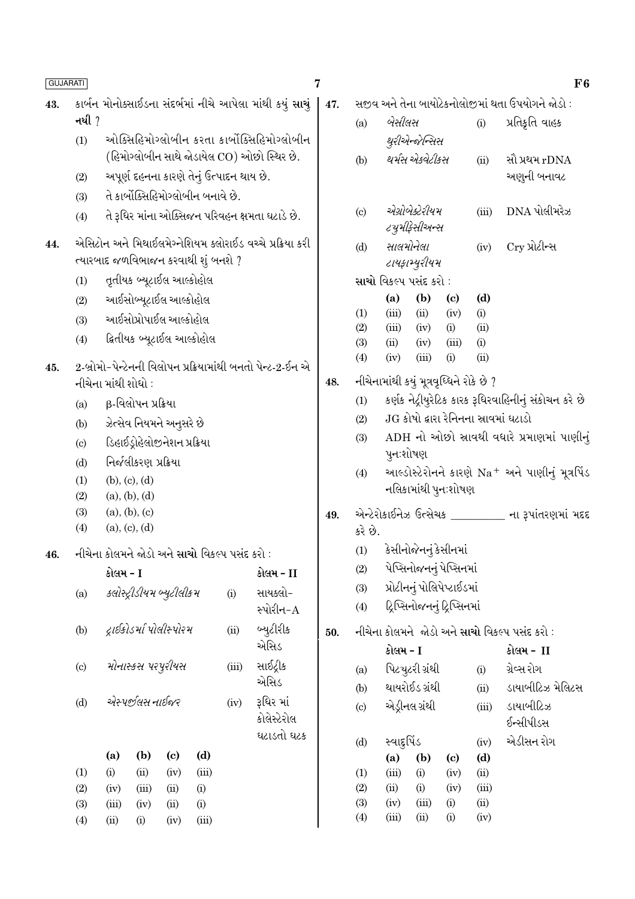| <b>GUJARATI</b> |                                                                                                |               |                                |                            |                                               |       |                                                            | 7   |                                          |                        |                                                   |                            |               | ${\bf F6}$                                                 |  |
|-----------------|------------------------------------------------------------------------------------------------|---------------|--------------------------------|----------------------------|-----------------------------------------------|-------|------------------------------------------------------------|-----|------------------------------------------|------------------------|---------------------------------------------------|----------------------------|---------------|------------------------------------------------------------|--|
| 43.             |                                                                                                |               |                                |                            |                                               |       | કાર્બન મોનોક્સાઈડના સંદર્ભમાં નીચે આપેલા માંથી કયું સાચું  | 47. |                                          |                        |                                                   |                            |               | સજીવ અને તેના બાયોટેકનોલોજીમાં થતા ઉપયોગને જોડો :          |  |
|                 | નથી ?                                                                                          |               |                                |                            |                                               |       |                                                            |     | (a)                                      | બેસીલસ                 |                                                   |                            | (i)           | પ્રતિકૃતિ વાહક                                             |  |
|                 | (1)                                                                                            |               |                                |                            |                                               |       | ઓક્સિહિમોગ્લોબીન કરતા કાર્બોક્સિહિમોગ્લોબીન                |     |                                          |                        | થુરીએન્જેન્સિસ                                    |                            |               |                                                            |  |
|                 |                                                                                                |               |                                |                            |                                               |       | (હિમોગ્લોબીન સાથે જોડાયેલ CO) ઓછો સ્થિર છે.                |     | (b)                                      | થર્મસ એકવેટીકસ         |                                                   |                            | (ii)          | સૌ પ્રથમ rDNA                                              |  |
|                 | (2)                                                                                            |               |                                |                            | અપૂર્ણ દહનના કારણે તેનું ઉત્પાદન થાય છે.      |       |                                                            |     |                                          |                        |                                                   |                            |               | અણુની બનાવટ                                                |  |
|                 | (3)                                                                                            |               |                                |                            | તે કાર્બોક્સિહિમોગ્લોબીન બનાવે છે.            |       |                                                            |     |                                          |                        | એગ્રોબેક્ટેરીયમ                                   |                            |               | $DNA$ પોલીમરેઝ                                             |  |
|                 | (4)                                                                                            |               |                                |                            |                                               |       | તે રૂધિર માંના ઓક્સિજન પરિવહન ક્ષમતા ઘટાડે છે.             |     | $\left( \mathrm{c}\right)$               |                        | ટ્યુમીફેસીઅન્સ                                    |                            | (iii)         |                                                            |  |
| 44.             |                                                                                                |               |                                |                            |                                               |       | એસિટોન અને મિથાઈલમેગ્નેશિયમ ક્લોરાઈડ વચ્ચે પ્રક્રિયા કરી   |     | (d)                                      |                        | સાલમોનેલા                                         |                            | (iv)          | Cry પ્રોટીન્સ                                              |  |
|                 |                                                                                                |               |                                |                            | ત્યારબાદ જળવિભાજન કરવાથી શું બનશે ?           |       |                                                            |     |                                          | ટાયફામ્યુરીયમ          |                                                   |                            |               |                                                            |  |
|                 | (1)                                                                                            |               |                                | તૃતીયક બ્યૂટાઈલ આલ્કોહોલ   |                                               |       |                                                            |     |                                          | સાચો વિકલ્પ પસંદ કરો : |                                                   |                            |               |                                                            |  |
|                 | (2)                                                                                            |               |                                | આઈસોબ્યૂટાઈલ આલ્કોહોલ      |                                               |       |                                                            |     |                                          | (a)                    | (b)                                               | $\left( \mathrm{c}\right)$ | (d)           |                                                            |  |
|                 | (3)                                                                                            |               |                                | આઈસોપ્રોપાઈલ આલ્કોહોલ      |                                               |       |                                                            |     | (1)<br>(2)                               | (iii)<br>(iii)         | (ii)<br>(iv)                                      | (iv)<br>(i)                | (i)<br>(ii)   |                                                            |  |
|                 | (4)                                                                                            |               |                                | દ્વિતીયક બ્યૂટાઈલ આલ્કોહોલ |                                               |       |                                                            |     | (3)                                      | (ii)                   | (iv)                                              | (iii)                      | (i)           |                                                            |  |
| 45.             |                                                                                                |               |                                |                            |                                               |       | 2-બ્રોમો-પેન્ટેનની વિલોપન પ્રક્રિયામાંથી બનતો પેન્ટ-2-ઈન એ |     | (4)                                      | (iv)                   | (iii)                                             | (i)                        | (ii)          |                                                            |  |
|                 | નીચેના માંથી શોધો :                                                                            |               |                                |                            |                                               |       |                                                            | 48. | નીચેનામાંથી કયું મૂત્રવૃધ્ધિને રોકે છે ? |                        |                                                   |                            |               |                                                            |  |
|                 | (a)                                                                                            |               | β-વિલોપન પ્રક્રિયા             |                            |                                               |       |                                                            |     | (1)                                      |                        |                                                   |                            |               | કર્ણક નેટ્રીયુરેટિક કારક રૂધિરવાહિનીનું સંકોચન કરે છે      |  |
|                 | ઝેત્સેવ નિયમને અનુસરે છે<br>(b)<br>ડિહાઈડ્રોહેલોજીનેશન પ્રક્રિયા<br>$\left( \mathrm{c}\right)$ |               |                                |                            |                                               |       |                                                            |     | (2)                                      |                        |                                                   |                            |               | JG કોષો દ્વારા રેનિનના સ્રાવમાં ઘટાડો                      |  |
|                 |                                                                                                |               |                                |                            |                                               |       |                                                            |     | (3)                                      |                        |                                                   |                            |               | ADH નો ઓછો સ્રાવથી વધારે પ્રમાણમાં પાણીનું                 |  |
|                 | (d)                                                                                            |               | નિર્જલીકરણ પ્રક્રિયા           |                            |                                               |       |                                                            |     |                                          | પુનઃશોષણ               |                                                   |                            |               |                                                            |  |
|                 | (1)                                                                                            |               | (b), (c), (d)                  |                            |                                               |       |                                                            |     | (4)                                      |                        | નલિકામાંથી પુન∶શોષણ                               |                            |               | આલ્ડોસ્ટેરોનને કારણે Na <sup>+</sup> અને પાણીનું મૂત્રપિંડ |  |
|                 | (2)                                                                                            | (a), (b), (d) |                                |                            |                                               |       |                                                            |     |                                          |                        |                                                   |                            |               |                                                            |  |
|                 | (3)<br>(4)                                                                                     |               | (a), (b), (c)<br>(a), (c), (d) |                            |                                               |       |                                                            | 49. |                                          |                        |                                                   |                            |               | એન્ટેરોકાઈનેઝ ઉત્સેચક ________ ના રૂપાંતરણમાં મદદ          |  |
|                 |                                                                                                |               |                                |                            |                                               |       |                                                            |     | કરે છે.                                  |                        |                                                   |                            |               |                                                            |  |
| 46.             |                                                                                                |               |                                |                            | નીચેના કોલમને જોડો અને સાચો વિકલ્પ પસંદ કરો : |       |                                                            |     | (1)<br>(2)                               |                        | કેસીનોજેનનું કેસીનમાં<br>પેપ્સિનોજનનું પેપ્સિનમાં |                            |               |                                                            |  |
|                 |                                                                                                | કોલમ - I      |                                |                            |                                               |       | કોલમ - II                                                  |     | (3)                                      |                        | પ્રોટીનનું પોલિપેપ્ટાઈડમાં                        |                            |               |                                                            |  |
|                 | (a)                                                                                            |               |                                | ક્લોસ્ટ્રીડીયમ બ્યુટીલીકમ  |                                               | (i)   | સાયક્લો-<br>સ્પોરીન-A                                      |     | (4)                                      |                        | ટ્રિપ્સિનોજનનું ટ્રિપ્સિનમાં                      |                            |               |                                                            |  |
|                 | (b)                                                                                            |               |                                | દ્રાઈકોડર્મા પોલીસ્પોરમ    |                                               | (ii)  | બ્યુટીરીક                                                  | 50. |                                          |                        |                                                   |                            |               | નીચેના કોલમને જોડો અને <mark>સાચો</mark> વિકલ્પ પસંદ કરો : |  |
|                 |                                                                                                |               |                                |                            |                                               |       | એસિડ                                                       |     |                                          | કોલમ - I               |                                                   |                            |               | કોલમ - II                                                  |  |
|                 | (c)                                                                                            |               | મોનાસ્કસ પરપુરીયસ              |                            |                                               | (iii) | સાઈટ્રીક                                                   |     | (a)                                      |                        | પિટચુટરી ગ્રંથી                                   |                            | (i)           | ગ્રેવ્સ રોગ                                                |  |
|                 |                                                                                                |               |                                |                            |                                               |       | એસિડ                                                       |     | (b)                                      |                        | થાયરોઈડ ગ્રંથી                                    |                            | (ii)          | ડાયાબીટિઝ મેલિટસ                                           |  |
|                 | (d)                                                                                            |               | એસ્પૂર્જીલસ નાઈજર              |                            |                                               | (iv)  | રૂધિર માં                                                  |     | $\left( \mathrm{c}\right)$               |                        | એડ્રીનલ ગ્રંથી                                    |                            | (iii)         | ડાયાબીટિઝ                                                  |  |
|                 |                                                                                                |               |                                |                            |                                               |       | કોલેસ્ટેરોલ                                                |     |                                          |                        |                                                   |                            |               | ઈન્સીપીડસ                                                  |  |
|                 |                                                                                                |               |                                |                            |                                               |       | ઘટાડતો ઘટક                                                 |     | (d)                                      |                        | સ્વાદુર્પિડ                                       |                            | (iv)          | એડીસન રોગ                                                  |  |
|                 |                                                                                                | (a)           | (b)                            | $\left( \mathrm{e}\right)$ | (d)                                           |       |                                                            |     |                                          | (a)                    | (b)                                               | $\left( \mathrm{c}\right)$ | (d)           |                                                            |  |
|                 | (1)<br>(2)                                                                                     | (i)<br>(iv)   | (ii)<br>(iii)                  | (iv)<br>(ii)               | (iii)<br>(i)                                  |       |                                                            |     | (1)<br>(2)                               | (iii)<br>(ii)          | (i)<br>(i)                                        | (iv)<br>(iv)               | (ii)<br>(iii) |                                                            |  |
|                 | (3)                                                                                            | (iii)         | (iv)                           | (ii)                       | (i)                                           |       |                                                            |     | (3)                                      | (iv)                   | (iii)                                             | (i)                        | (ii)          |                                                            |  |
|                 | (4)                                                                                            | (ii)          | (i)                            | (iv)                       | (iii)                                         |       |                                                            |     | (4)                                      | (iii)                  | (ii)                                              | (i)                        | (iv)          |                                                            |  |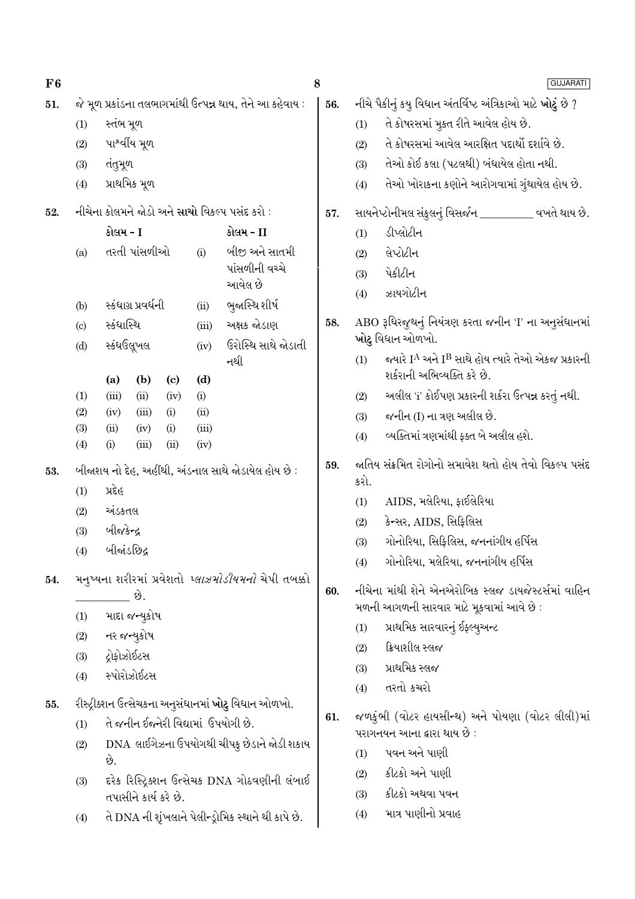| F6  |                                                                                            |                     |                       |                             |             |                                                            | $\bf8$ |                                                        | <b>GUJARATI</b>                                                                                          |  |  |  |  |
|-----|--------------------------------------------------------------------------------------------|---------------------|-----------------------|-----------------------------|-------------|------------------------------------------------------------|--------|--------------------------------------------------------|----------------------------------------------------------------------------------------------------------|--|--|--|--|
| 51. |                                                                                            |                     |                       |                             |             | જે મૂળ પ્રકાંડના તલભાગમાંથી ઉત્પન્ન થાય, તેને આ કહેવાય :   | 56.    |                                                        | નીચે પૈકીનું કયુ વિધાન અંતર્વિષ્ટ અંત્રિકાઓ માટે <b>ખોટું</b> છે ?                                       |  |  |  |  |
|     | (1)                                                                                        | સ્તંભ મૂળ           |                       |                             |             |                                                            |        | (1)                                                    | તે કોષરસમાં મુકત રીતે આવેલ હોય છે.                                                                       |  |  |  |  |
|     | (2)                                                                                        |                     | પાર્શ્વીય મૂળ         |                             |             |                                                            |        | (2)                                                    | તે કોષરસમાં આવેલ આરક્ષિત પદાર્થો દર્શાવે છે.                                                             |  |  |  |  |
|     | (3)                                                                                        | તંતુમૂળ             |                       |                             |             |                                                            |        | (3)                                                    | તેઓ કોઈ કલા (પટલથી) બંધાયેલ હોતા નથી.                                                                    |  |  |  |  |
|     | (4)                                                                                        |                     | પ્રાથમિક મૂળ          |                             |             |                                                            |        | (4)                                                    | તેઓ ખોરાકના કણોને આરોગવામાં ગુંથાયેલ હોય છે.                                                             |  |  |  |  |
| 52. |                                                                                            |                     |                       |                             |             | નીચેના કોલમને જોડો અને સાચો વિકલ્પ પસંદ કરો :              | 57.    | સાયનેપ્ટોનીમલ સંકુલનું વિસર્જન __________ વખતે થાય છે. |                                                                                                          |  |  |  |  |
|     |                                                                                            | કોલમ - I            |                       |                             |             | કોલમ - II                                                  |        | (1)                                                    | ડીપ્લોટીન                                                                                                |  |  |  |  |
|     | (a)                                                                                        |                     | તરતી પાંસળીઓ          |                             | (i)         | બીજી અને સાતમી                                             |        | (2)                                                    | લેપ્ટોટીન                                                                                                |  |  |  |  |
|     |                                                                                            |                     |                       |                             |             | પાંસળીની વચ્ચે                                             |        | (3)                                                    | પેકીટીન                                                                                                  |  |  |  |  |
|     |                                                                                            |                     |                       |                             |             | આવેલ છે                                                    |        | (4)                                                    | ઝાયગોટીન                                                                                                 |  |  |  |  |
|     | (b)                                                                                        |                     | સ્કંધાગ્ર પ્રવર્ધની   |                             | (ii)        | ભુજાસ્થિ શીર્ષ                                             |        |                                                        |                                                                                                          |  |  |  |  |
|     | (c)                                                                                        | સ્કંધાસ્થિ          |                       |                             | (iii)       | અક્ષક જોડાણ                                                | 58.    |                                                        | ABO રૂધિરજુથનું નિયંત્રણ કરતા જનીન 'I' ના અનુસંધાનમાં<br>ખોટુ વિધાન ઓળખો.                                |  |  |  |  |
|     | (d)                                                                                        | સ્કંધઉલૂખલ<br>(a)   | (b)                   | $\left( \mathbf{c} \right)$ | (iv)<br>(d) | ઉરોસ્થિ સાથે જોડાતી<br>નથી                                 |        | (1)                                                    | જ્યારે I <sup>A</sup> અને I <sup>B</sup> સાથે હોય ત્યારે તેઓ એકજ પ્રકારની<br>શર્કરાની અભિવ્યક્તિ કરે છે. |  |  |  |  |
|     | (1)                                                                                        | (iii)               | (ii)                  | (iv)                        | (i)         |                                                            |        | (2)                                                    | અલીલ 'i' કોઈપણ પ્રકારની શર્કરા ઉત્પન્ન કરતું નથી.                                                        |  |  |  |  |
|     | (2)                                                                                        | (iv)                | (iii)                 | (i)                         | (ii)        |                                                            |        | (3)                                                    | જનીન (I) ના ત્રણ અલીલ છે.                                                                                |  |  |  |  |
|     | (3)                                                                                        | (ii)                | (iv)                  | (i)                         | (iii)       |                                                            |        | (4)                                                    | વ્યક્તિમાં ત્રણમાંથી ફક્ત બે અલીલ હશે.                                                                   |  |  |  |  |
| 53. | (4)<br>(iii)<br>(ii)<br>(i)<br>(iv)<br>બીજાશય નો દેહ, અહીંથી, અંડનાલ સાથે જોડાયેલ હોય છે : |                     |                       |                             |             |                                                            | 59.    |                                                        | જાતિય સંક્રમિત રોગોનો સમાવેશ થતો હોય તેવો વિકલ્પ પસંદ                                                    |  |  |  |  |
|     | (1)                                                                                        | પ્રદેહ              |                       |                             |             |                                                            |        | કરો.                                                   |                                                                                                          |  |  |  |  |
|     | (2)                                                                                        | અંડકતલ              |                       |                             |             |                                                            |        | (1)                                                    | AIDS, મલેરિયા, ફાઈલેરિયા                                                                                 |  |  |  |  |
|     | (3)                                                                                        | બીજકેન્દ્ર          |                       |                             |             |                                                            |        | (2)                                                    | કેન્સર, AIDS, સિફિલિસ                                                                                    |  |  |  |  |
|     | (4)                                                                                        | બીજાંડછિદ્ર         |                       |                             |             |                                                            |        | (3)                                                    | ગોનોરિયા, સિફિલિસ, જનનાંગીય હર્પિસ                                                                       |  |  |  |  |
| 54. |                                                                                            |                     |                       |                             |             | મનુષ્યના શરીરમાં પ્રવેશતો <i>પ્લાઝમોડીયમનો</i> ચેપી તબક્કો |        | (4)                                                    | ગોનોરિયા, મલેરિયા, જનનાંગીય હર્પિસ                                                                       |  |  |  |  |
|     |                                                                                            |                     | - છે.                 |                             |             |                                                            | 60.    |                                                        | નીચેના માંથી શેને એનએરોબિક સ્લજ ડાયજેસ્ટર્સમાં વાહિન<br>મળની આગળની સારવાર માટે મૂકવામાં આવે છે :         |  |  |  |  |
|     | (1)                                                                                        |                     | માદા જન્યુકોષ         |                             |             |                                                            |        | (1)                                                    | પ્રાથમિક સારવારનું ઈફ્લ્યુઅન્ટ                                                                           |  |  |  |  |
|     | (2)                                                                                        |                     | નર જન્યુકોષ           |                             |             |                                                            |        | (2)                                                    | ક્રિયાશીલ સ્લજ                                                                                           |  |  |  |  |
|     | (3)                                                                                        | <i>દ્રો</i> ફોઝોઈટસ |                       |                             |             |                                                            |        | (3)                                                    | પ્રાથમિક સ્લજ                                                                                            |  |  |  |  |
|     | (4)                                                                                        |                     | સ્પોરોઝોઈટસ           |                             |             |                                                            |        | (4)                                                    | તરતો કચરો                                                                                                |  |  |  |  |
| 55. |                                                                                            |                     |                       |                             |             | રીસ્ટ્રીક્શન ઉત્સેચકના અનુસંધાનમાં <b>ખોટુ</b> વિધાન ઓળખો. |        |                                                        |                                                                                                          |  |  |  |  |
|     | (1)                                                                                        |                     |                       |                             |             | તે જનીન ઈજ્નેરી વિદ્યામાં  ઉપયોગી છે.                      | 61.    |                                                        | જળકુંભી (વોટર હાયસીન્થ) અને પોયણા (વોટર લીલી)માં<br>પરાગનયન આના દ્વારા થાય છે :                          |  |  |  |  |
|     | DNA  લાઈગેઝના ઉપયોગથી ચીપકુ છેડાને જોડી શકાય<br>(2)                                        |                     |                       |                             |             |                                                            |        | (1)                                                    | પવન અને પાણી                                                                                             |  |  |  |  |
|     |                                                                                            | છે.                 |                       |                             |             |                                                            |        | (2)                                                    | કીટકો અને પાણી                                                                                           |  |  |  |  |
|     | (3)                                                                                        |                     | તપાસીને કાર્ય કરે છે. |                             |             | દરેક રિસ્ટ્રિક્શન ઉત્સેચક DNA ગોઠવણીની લંબાઈ               |        | (3)                                                    | કીટકો અથવા પવન                                                                                           |  |  |  |  |
|     | (4)                                                                                        |                     |                       |                             |             | તે DNA ની શૃંખલાને પેલીન્ડ્રોમિક સ્થાને થી કાપે છે.        |        | (4)                                                    | માત્ર પાણીનો પ્રવાહ                                                                                      |  |  |  |  |
|     |                                                                                            |                     |                       |                             |             |                                                            |        |                                                        |                                                                                                          |  |  |  |  |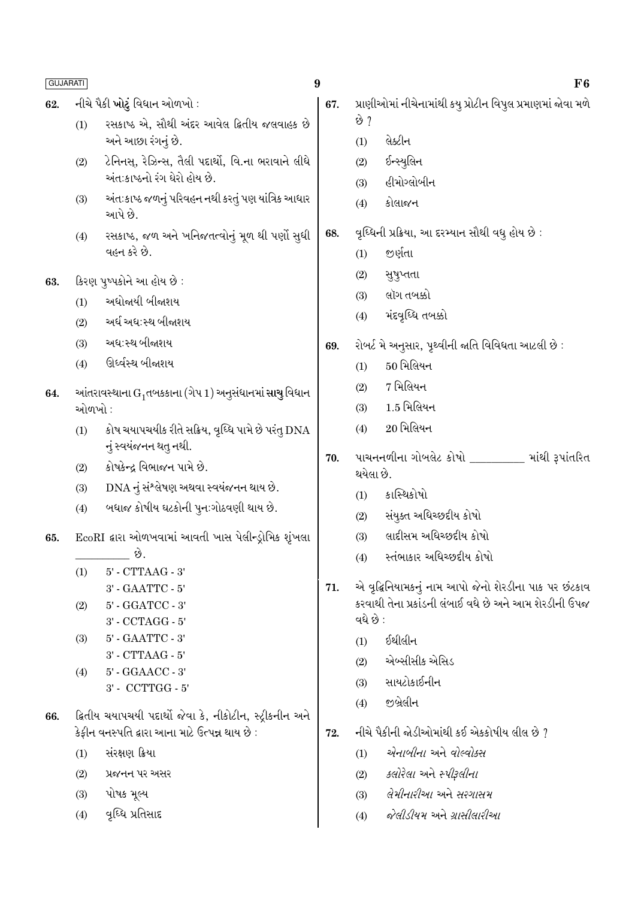- નીચે પૈકી ખોટું વિધાન ઓળખો : 62.
	- રસકાષ્ઠ એ. સૌથી અંદર આવેલ દિતીય જલવાહક છે  $(1)$ અને આછા રંગનું છે.
	- ટેનિનસ, રેઝિન્સ, તૈલી પદાર્થો, વિ.ના ભરાવાને લીધે  $(2)$ અંતઃકાષ્ઠનો રંગ ઘેરો હોય છે.
	- અંત:કાષ્ઠ જળનું પરિવહન નથી કરતું પણ યાંત્રિક આધાર  $(3)$ આપે છે.
	- રસકાષ્ઠ, જળ અને ખનિજતત્વોનું મૂળ થી પર્ણો સુધી  $(4)$ વહન કરે છે.

કિરણ પૃષ્પકોને આ હોય છે: 63.

- અધોજાયી બીજાશય  $(1)$
- અર્ધ અધ:સ્થ બીજાશય  $(2)$
- અધ:સ્થ બીજાશય  $(3)$
- ઊર્ધ્વસ્થ બીજાશય  $(4)$
- 64. આંતરાવસ્થાના  $G_1$ તબકકાના (ગેપ 1) અનૂસંધાનમાં સાચુ વિધાન ઓળખો :
	- કોષ ચયાપચયીક રીતે સક્રિય, વૃધ્ધિ પામે છે પરંત્ DNA  $(1)$ નું સ્વયંજનન થત્ નથી.
	- કોષકેન્દ્ર વિભાજન પામે છે.  $(2)$
	- DNA નું સંશ્લેષણ અથવા સ્વયંજનન થાય છે.  $(3)$
	- બધાજ કોષીય ઘટકોની પુનઃગોઠવણી થાય છે.  $(4)$
- EcoRI દ્વારા ઓળખવામાં આવતી ખાસ પેલીન્ડ્રોમિક શૃંખલા 65. છે.
	- $5'$  CTTAAG  $3'$  $(1)$ 3' - GAATTC - 5'
	- 5' GGATCC 3'  $(2)$
	- 3' CCTAGG 5'
	- 5' GAATTC 3'  $(3)$
	- 3' CTTAAG 5' 5' - GGAACC - 3'  $(4)$ 
		- 3' CCTTGG 5'
- ક્રિતીય ચયાપચયી પદાર્થો જેવા કે, નીકોટીન, સ્ટ્રીકનીન અને 66. કેકીન વનસ્પતિ દ્વારા આના માટે ઉત્પન્ન થાય છે :
	- $(1)$ સંરક્ષણ ક્રિયા
	- $(2)$ પ્રજનન પર અસર
	- પોષક મૂલ્ય  $(3)$
	- વૃધ્ધિ પ્રતિસાદ  $(4)$
- $\boldsymbol{9}$ 
	- પ્રાણીઓમાં નીચેનામાંથી કયુ પ્રોટીન વિપુલ પ્રમાણમાં જોવા મળે 67. છે ?
		- લેક્ટીન  $(1)$
		- ઈન્સ્યલિન  $(2)$
		- હીમોગ્લોબીન  $(3)$
		- કોલાજન  $(4)$
	- વૃધ્ધિની પ્રક્રિયા, આ દરમ્યાન સૌથી વધુ હોય છે : 68.
		- જર્ણતા  $(1)$
		- $(2)$ સુષુપ્તતા
		- લૉગ તબક્કો  $(3)$
		- મંદવૃધ્ધિ તબક્કો  $(4)$
	- રોબર્ટ મે અનુસાર, પૃથ્વીની જાતિ વિવિધતા આટલી છે : 69.
		- $50$  મિલિયન  $(1)$
		- 7 મિલિયન  $(2)$
		- 1.5 મિલિયન  $(3)$
		- $20$  भिलियन  $(4)$
	- પાચનનળીના ગોબલેટ કોષો \_\_\_\_\_\_\_\_ માંથી રૂપાંતરિત 70. થયેલા છે.
		- કાસ્થિકોષો  $(1)$
		- સંયુક્ત અધિચ્છદીય કોષો  $(2)$
		- લાદીસમ અધિચ્છદીય કોષો  $(3)$
		- स्तंलाकार અधिस्कृदीय कोषो  $(4)$
	- એ વૃદ્ધિનિયામકનું નામ આપો જેનો શેરડીના પાક પર છંટકાવ 71. કરવાથી તેના પ્રકાંડની લંબાઈ વધે છે અને આમ શેરડીની ઉપજ વધે છે :
		- ઈથીલીન  $(1)$
		- એબ્સીસીક એસિડ  $(2)$
		- સાયટોકાઈનીન  $(3)$
		- જીબ્રેલીન  $(4)$
	- નીચે પૈકીની જોડીઓમાંથી કઈ એકકોષીય લીલ છે ? 72.
		- $(1)$ એનાબીના અને વોલ્વોક્સ
		- કલોરેલા અને સ્પીરૂલીના  $(2)$
		- લેમીનારીઆ અને સરગાસમ  $(3)$
		- જેલીડીયમ અને ગ્રાસીલારીઆ  $(4)$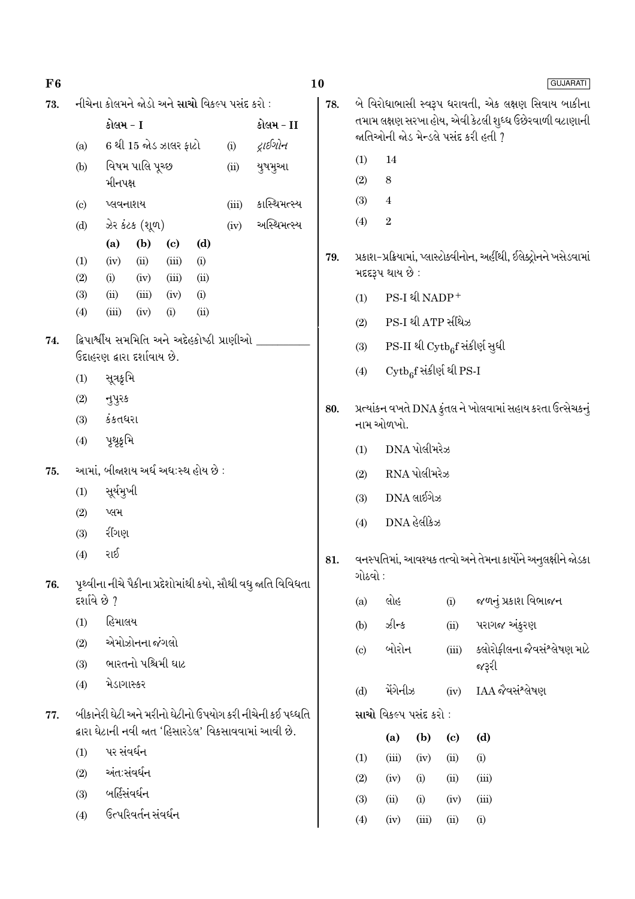| F6  |                            |                                                              |                       |                             |                                                            |       |                                                              | 10  | <b>GUJARATI</b>            |                         |                                     |       |                                                                      |  |  |  |
|-----|----------------------------|--------------------------------------------------------------|-----------------------|-----------------------------|------------------------------------------------------------|-------|--------------------------------------------------------------|-----|----------------------------|-------------------------|-------------------------------------|-------|----------------------------------------------------------------------|--|--|--|
| 73. |                            |                                                              |                       |                             | નીચેના કોલમને જોડો અને <mark>સાચો</mark> વિકલ્પ પસંદ કરો : |       |                                                              | 78. |                            |                         |                                     |       | બે વિરોધાભાસી સ્વરૂપ ધરાવતી, એક લક્ષણ સિવાય બાકીના                   |  |  |  |
|     |                            | કોલમ - I                                                     |                       |                             |                                                            |       | કોલમ - II                                                    |     |                            |                         |                                     |       | તમામ લક્ષણ સરખા હોય, એવી કેટલી શુધ્ધ ઉછેરવાળી વટાણાની                |  |  |  |
|     | (a)                        |                                                              | 6 થી 15 જોડ ઝાલર ફાટો |                             |                                                            | (i)   | દ્રાઈગોન                                                     |     |                            |                         |                                     |       | જાતિઓની જોડ મેન્ડલે પસંદ કરી હતી ?                                   |  |  |  |
|     | (b)                        |                                                              | વિષમ પાલિ પૂચ્છ       |                             |                                                            | (ii)  | યુષમુઆ                                                       |     | 14<br>(1)                  |                         |                                     |       |                                                                      |  |  |  |
|     |                            | મીનપક્ષ                                                      |                       |                             |                                                            |       |                                                              |     | (2)                        | $\,8\,$                 |                                     |       |                                                                      |  |  |  |
|     | $\left( \mathrm{c}\right)$ | પ્લવનાશય                                                     |                       |                             |                                                            | (iii) | કાસ્થિમત્સ્ય                                                 |     | (3)                        | $\overline{\mathbf{4}}$ |                                     |       |                                                                      |  |  |  |
|     | (d)                        |                                                              | ઝેર કંટક (શૂળ)        |                             |                                                            | (iv)  | અસ્થિમત્સ્ય                                                  |     | (4)                        | $\boldsymbol{2}$        |                                     |       |                                                                      |  |  |  |
|     |                            | (a)                                                          | (b)                   | $\left( \mathbf{c} \right)$ | (d)                                                        |       |                                                              | 79. |                            |                         |                                     |       | પ્રકાશ-પ્રક્રિયામાં, પ્લાસ્ટોક્વીનોન, અહીંથી, ઈલેક્ટ્રોનને ખસેડવામાં |  |  |  |
|     | (1)<br>(2)                 | (iii)<br>(iv)<br>(ii)<br>(i)<br>(ii)<br>(iii)<br>(i)<br>(iv) |                       |                             |                                                            |       |                                                              |     |                            | મદદરૂપ થાય છે :         |                                     |       |                                                                      |  |  |  |
|     | (3)                        | (ii)                                                         | (iii)                 | (iv)                        | (i)                                                        |       |                                                              |     | (1)                        |                         | PS-I थी NADP+                       |       |                                                                      |  |  |  |
|     | (4)                        | (iii)                                                        | (iv)                  | (i)                         | (ii)                                                       |       |                                                              |     | (2)                        |                         | PS-I થી ATP સીંથેઝ                  |       |                                                                      |  |  |  |
| 74. |                            |                                                              |                       |                             | દ્વિપાર્શ્વીય સમમિતિ અને અદેહકોષ્ઠી પ્રાણીઓ                |       |                                                              |     | (3)                        |                         |                                     |       | PS-II થી Cytb <sub>6</sub> f સંકીર્ણ સુધી                            |  |  |  |
|     |                            | ઉદાહરણ દ્વારા દર્શાવાય છે.<br>સૂત્રકૃમિ                      |                       |                             |                                                            |       |                                                              |     | (4)                        |                         | $\mathrm{Cytb}_6$ f સંકીર્ણ થી PS-I |       |                                                                      |  |  |  |
|     | (1)                        |                                                              |                       |                             |                                                            |       |                                                              |     |                            |                         |                                     |       |                                                                      |  |  |  |
|     | (2)<br>(3)                 | નુપુરક<br>કંકતધરા                                            |                       |                             |                                                            |       |                                                              | 80. |                            |                         |                                     |       | પ્રત્યાંકન વખતે DNA કુંતલ ને ખોલવામાં સહાય કરતા ઉત્સેચકનું           |  |  |  |
|     | (4)                        | પૃથૃકૃમિ                                                     |                       |                             |                                                            |       |                                                              |     |                            | નામ ઓળખો.               |                                     |       |                                                                      |  |  |  |
|     |                            |                                                              |                       |                             |                                                            |       |                                                              |     | (1)                        |                         | DNA પોલીમરેઝ                        |       |                                                                      |  |  |  |
| 75. |                            |                                                              |                       |                             | આમાં, બીજાશય અર્ધ અધ:સ્થ હોય છે :                          |       |                                                              |     | (2)                        |                         |                                     |       |                                                                      |  |  |  |
|     | (1)                        | સૂર્યમુખી                                                    |                       |                             |                                                            |       |                                                              |     | $DNA$ લાઈગેઝ<br>(3)        |                         |                                     |       |                                                                      |  |  |  |
|     | (2)                        | પ્લમ                                                         |                       |                             |                                                            |       |                                                              |     | (4)                        |                         | DNA હેલીકેઝ                         |       |                                                                      |  |  |  |
|     | (3)                        | રીંગણ                                                        |                       |                             |                                                            |       |                                                              |     |                            |                         |                                     |       |                                                                      |  |  |  |
|     | (4)                        | રાઈ                                                          |                       |                             |                                                            |       |                                                              | 81. |                            |                         |                                     |       | વનસ્પતિમાં, આવશ્યક તત્વો અને તેમના કાર્યોને અનુલક્ષીને જોડકા         |  |  |  |
| 76. |                            |                                                              |                       |                             |                                                            |       | પૃથ્વીના નીચે પૈકીના પ્રદેશોમાંથી કયો, સૌથી વધુ જાતિ વિવિધતા |     | ગોઠવો :                    |                         |                                     |       |                                                                      |  |  |  |
|     | દર્શાવે છે ?               |                                                              |                       |                             |                                                            |       |                                                              |     | (a)                        | લોહ                     |                                     | (i)   | જળનું પ્રકાશ વિભાજન                                                  |  |  |  |
|     | (1)                        | હિમાલય                                                       |                       |                             |                                                            |       |                                                              |     | (b)                        | ઝીન્ક                   |                                     | (ii)  | પરાગજ અંકુરણ                                                         |  |  |  |
|     | (2)                        |                                                              | એમોઝોનના જંગલો        |                             |                                                            |       |                                                              |     | $\left( \mathrm{c}\right)$ | બોરોન                   |                                     | (iii) | ક્લોરોફીલના જૈવસંશ્લેષણ માટે                                         |  |  |  |
|     | (3)                        |                                                              | ભારતનો પશ્ચિમી ઘાટ    |                             |                                                            |       |                                                              |     |                            |                         |                                     |       | જરૂરી                                                                |  |  |  |
|     | (4)                        | મેડાગાસ્કર                                                   |                       |                             |                                                            |       |                                                              |     | (d)                        | મેંગેનીઝ                |                                     | (iv)  | IAA જેવસંશ્લેષણ                                                      |  |  |  |
| 77. |                            |                                                              |                       |                             |                                                            |       | બીકાનેરી ઘેટી અને મરીનો ઘેટીનો ઉપયોગ કરી નીચેની કઈ પધ્ધતિ    |     |                            | સાચો વિકલ્પ પસંદ કરો :  |                                     |       |                                                                      |  |  |  |
|     |                            | દ્વારા ઘેટાની નવી જાત 'હિસારડેલ' વિકસાવવામાં આવી છે.         |                       |                             |                                                            |       |                                                              |     | (a)                        | (b)                     | (c)                                 | (d)   |                                                                      |  |  |  |
|     | (1)                        | પર સંવર્ધન                                                   |                       |                             |                                                            |       |                                                              |     | (1)                        | (iii)                   | (iv)                                | (ii)  | (i)                                                                  |  |  |  |
|     | (2)                        | અંતઃસંવર્ધન                                                  |                       |                             |                                                            |       |                                                              |     | (2)                        | (iv)                    | (i)                                 | (ii)  | (iii)                                                                |  |  |  |
|     | (3)                        | બર્હિસંવર્ધન                                                 |                       |                             |                                                            |       |                                                              |     | (3)                        | (ii)                    | (i)                                 | (iv)  | (iii)                                                                |  |  |  |
|     | (4)                        |                                                              | ઉત્પરિવર્તન સંવર્ધન   |                             |                                                            |       |                                                              |     | (4)                        | (iv)                    | (iii)                               | (ii)  | (i)                                                                  |  |  |  |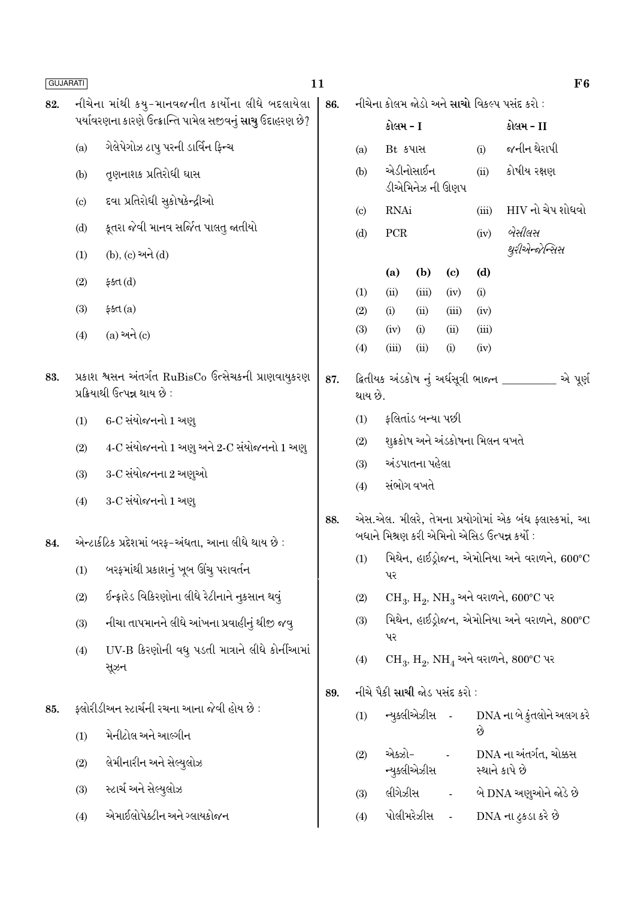| <b>GUJARATI</b> |     |                                                                                     | 11  |                        |                |                              |                                 |             |                                                                                                    | ${\bf F6}$ |
|-----------------|-----|-------------------------------------------------------------------------------------|-----|------------------------|----------------|------------------------------|---------------------------------|-------------|----------------------------------------------------------------------------------------------------|------------|
| 82.             |     | નીચેના માંથી કયુ-માનવજનીત કાર્યોના લીધે બદલાયેલા                                    | 86. |                        |                |                              |                                 |             | નીચેના કોલમ જોડો અને સાચો વિકલ્પ પસંદ કરો :                                                        |            |
|                 |     | પર્યાવરણના કારણે ઉત્ક્રાન્તિ પામેલ સજીવનું <b>સાચુ</b> ઉદાહરણ છે?                   |     |                        | કોલમ - I       |                              |                                 |             | કોલમ - II                                                                                          |            |
|                 | (a) | ગેલેપેગોઝ ટાપુ પરની ડાર્વિન ફિન્ચ                                                   |     | (a)                    | Bt કપાસ        |                              |                                 | (i)         | જનીન થેરાપી                                                                                        |            |
|                 | (b) | તૃણનાશક પ્રતિરોધી ઘાસ                                                               |     | (b)                    |                | એડીનોસાઈન<br>ડીએમિનેઝ ની ઊણપ |                                 | (ii)        | કોષીય રક્ષણ                                                                                        |            |
|                 | (c) | દવા પ્રતિરોધી સુકોષકેન્દ્રીઓ                                                        |     | $\left( \circ \right)$ | <b>RNAi</b>    |                              |                                 | (iii)       | HIV નો ચેપ શોધવો                                                                                   |            |
|                 | (d) | કૂતરા જેવી માનવ સર્જિત પાલતુ જાતીયો                                                 |     | (d)                    | ${\mbox{PCR}}$ |                              |                                 | (iv)        | બેસીલસ                                                                                             |            |
|                 | (1) | (b), (c) અને (d)                                                                    |     |                        |                |                              |                                 |             | થુરીએન્જેન્સિસ                                                                                     |            |
|                 | (2) | ફક્ત $(d)$                                                                          |     |                        | (a)            | (b)                          | $\left( \mathbf{c} \right)$     | (d)         |                                                                                                    |            |
|                 | (3) | \$4d(a)\$                                                                           |     | (1)                    | (ii)           | (iii)<br>(ii)                | (iv)<br>(iii)                   | (i)<br>(iv) |                                                                                                    |            |
|                 |     |                                                                                     |     | (2)<br>(3)             | (i)<br>(iv)    | (i)                          | (ii)                            | (iii)       |                                                                                                    |            |
|                 | (4) | $(a)$ અને $(c)$                                                                     |     | (4)                    | (iii)          | (ii)                         | (i)                             | (iv)        |                                                                                                    |            |
| 83.             |     | પ્રકાશ શ્વસન અંતર્ગત RuBisCo ઉત્સેચકની પ્રાણવાયુકરણ<br>પ્રક્રિયાથી ઉત્પન્ન થાય છે : | 87. | થાય છે.                |                |                              |                                 |             | ક્ષિતીયક અંડકોષ નું અર્ધસૂત્રી ભાજન _______                                                        | એ પૂર્ણ    |
|                 | (1) | 6-C સંયોજનનો 1 અણુ                                                                  |     | (1)                    |                | ફલિતાંડ બન્યા પછી            |                                 |             |                                                                                                    |            |
|                 | (2) | 4-C સંયોજનનો 1 અણુ અને 2-C સંયોજનનો 1 અણુ                                           |     | (2)                    |                |                              | શુક્રકોષ અને અંડકોષના મિલન વખતે |             |                                                                                                    |            |
|                 | (3) | 3-C સંયોજનના 2 અણુઓ                                                                 |     | (3)                    |                | અંડપાતના પહેલા               |                                 |             |                                                                                                    |            |
|                 | (4) | 3-C સંયોજનનો 1 અણ્                                                                  |     | (4)                    |                | સંભોગ વખતે                   |                                 |             |                                                                                                    |            |
| 84.             |     | એન્ટાર્કટિક પ્રદેશમાં બરફ-અંધતા, આના લીધે થાય છે :                                  | 88. |                        |                |                              |                                 |             | એસ.એલ. મીલરે, તેમના પ્રયોગોમાં એક બંધ ફ્લાસ્કમાં, આ<br>બધાને મિશ્રણ કરી એમિનો એસિડ ઉત્પન્ન કર્યો : |            |
|                 | (1) | બરફમાંથી પ્રકાશનું ખૂબ ઊંચુ પરાવર્તન                                                |     |                        | પર             |                              |                                 |             | $(1)$ મિથેન, હાઈડ્રોજન, એમોનિયા અને વરાળને, 600°C                                                  |            |
|                 | (2) | ઈન્ફ્રારેડ વિકિરણોના લીધે રેટીનાને નુકસાન થવું                                      |     | (2)                    |                |                              |                                 |             | $CH_3$ , $H_2$ , $NH_3$ અને વરાળને, 600°C પર                                                       |            |
|                 | (3) | નીચા તાપમાનને લીધે આંખના પ્રવાહીનું થીજી જવુ                                        |     | (3)                    |                |                              |                                 |             | મિથેન, હાઈડ્રોજન, એમોનિયા અને વરાળને, 800°C                                                        |            |
|                 | (4) | UV-B કિરણોની વધુ પડતી માત્રાને લીધે કોર્નીઆમાં<br>સૂઝન                              |     | (4)                    | પર             |                              |                                 |             | $CH_3$ , $H_2$ , $NH_4$ અને વરાળને, $800^{\circ}$ C પર                                             |            |
|                 |     |                                                                                     | 89. |                        |                |                              | નીચે પૈકી સાચી જોડ પસંદ કરો :   |             |                                                                                                    |            |
| 85.             |     | ફ્લોરીડીઅન સ્ટાર્ચની રચના આના જેવી હોય છે :                                         |     | (1)                    |                | ન્યુક્લીએઝીસ -               |                                 |             | DNA ના બે કુંતલોને અલગ કરે                                                                         |            |
|                 | (1) | મેનીટોલ અને આલ્ગીન                                                                  |     |                        |                |                              |                                 | છે          |                                                                                                    |            |
|                 | (2) | લેમીનારીન અને સેલ્યુલોઝ                                                             |     | (2)                    | એક્ઝો-         | ન્યુક્લીએઝીસ                 | $\blacksquare$                  |             | DNA ના અંતર્ગત, ચોક્કસ<br>સ્થાને કાપે છે                                                           |            |
|                 | (3) | સ્ટાર્ચ અને સેલ્યુલોઝ                                                               |     | (3)                    | લીગેઝીસ        |                              | $\blacksquare$                  |             | બે DNA અણુઓને જોડે છે                                                                              |            |
|                 | (4) | એમાઈલોપેક્ટીન અને ગ્લાયકોજન                                                         |     | (4)                    |                | પોલીમરેઝીસ                   | $\mathbb{Z}$                    |             | DNA ના ટુકડા કરે છે                                                                                |            |
|                 |     |                                                                                     |     |                        |                |                              |                                 |             |                                                                                                    |            |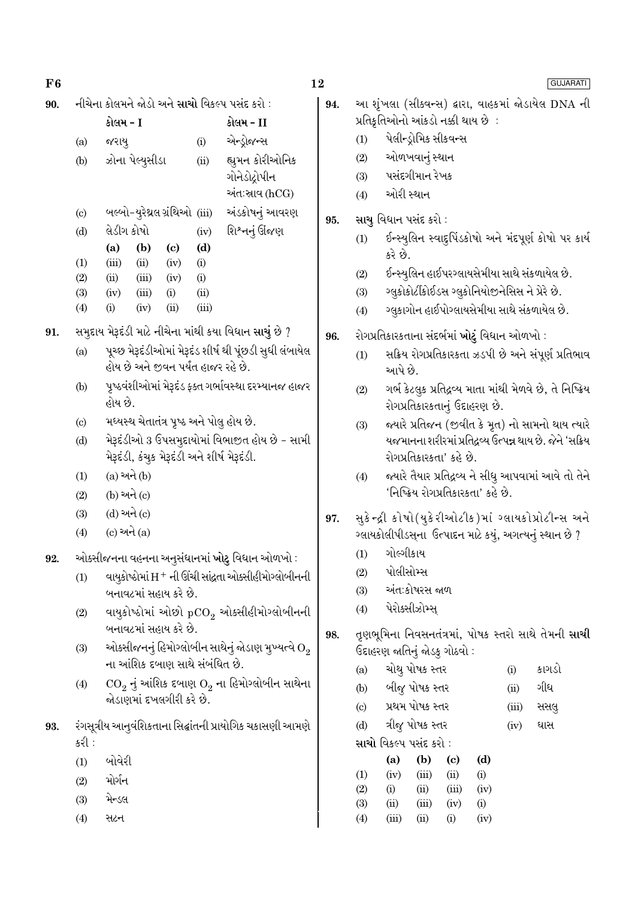| F6  |                            |                                                        |                                                     |                                                                 | 12  |                                                           |                              |                                               |                            |             |                                                      | <b>GUJARATI</b>                                          |  |  |  |
|-----|----------------------------|--------------------------------------------------------|-----------------------------------------------------|-----------------------------------------------------------------|-----|-----------------------------------------------------------|------------------------------|-----------------------------------------------|----------------------------|-------------|------------------------------------------------------|----------------------------------------------------------|--|--|--|
| 90. |                            | નીચેના કોલમને જોડો અને સાચો વિકલ્પ પસંદ કરો :          |                                                     |                                                                 | 94. | આ શૃંખલા (સીક્વન્સ) દ્વારા, વાહકમાં જોડાયેલ DNA ની        |                              |                                               |                            |             |                                                      |                                                          |  |  |  |
|     |                            | કોલમ - I                                               |                                                     | કોલમ - II                                                       |     |                                                           |                              | પ્રતિકૃતિઓનો આંકડો નક્કી થાય છે :             |                            |             |                                                      |                                                          |  |  |  |
|     | (a)                        | જરાયુ                                                  | (i)                                                 | એન્ડ્રોજન્સ                                                     |     | પેલીન્ડ્રોમિક સીકવન્સ<br>(1)                              |                              |                                               |                            |             |                                                      |                                                          |  |  |  |
|     | (b)                        | ઝોના પેલ્યુસીડા                                        | (ii)                                                | (2)<br>હ્યુમન કોરીઓનિક                                          |     |                                                           |                              | ઓળખવાનું સ્થાન                                |                            |             |                                                      |                                                          |  |  |  |
|     |                            |                                                        |                                                     | ગોનેડોદ્રોપીન                                                   | (3) |                                                           | પસંદગીમાન રેખક               |                                               |                            |             |                                                      |                                                          |  |  |  |
|     |                            |                                                        |                                                     | અંત:સાવ (hCG)                                                   |     | ઓરી સ્થાન<br>(4)                                          |                              |                                               |                            |             |                                                      |                                                          |  |  |  |
|     | $\left( \mathrm{c}\right)$ | બલ્બો-યુરેથ્રલ ગ્રંથિઓ (iii)                           |                                                     | અંડકોષનું આવરણ                                                  | 95. |                                                           |                              | સાચુ વિધાન પસંદ કરો :                         |                            |             |                                                      |                                                          |  |  |  |
|     | (d)                        | લેડીગ કોષો                                             | શિશ્નનું ઊંજણ                                       |                                                                 | (1) |                                                           |                              |                                               |                            |             | ઈન્સ્યુલિન સ્વાદુપિંડકોષો અને મંદપૂર્ણ કોષો પર કાર્ય |                                                          |  |  |  |
|     |                            | (b)<br>(a)<br>$\left( \mathrm{c}\right)$               | (d)                                                 |                                                                 |     |                                                           | કરે છે.                      |                                               |                            |             |                                                      |                                                          |  |  |  |
|     | (1)<br>(2)                 | (iii)<br>(ii)<br>(iv)<br>(ii)<br>(iii)<br>(iv)         | (i)<br>(i)                                          |                                                                 |     | (2)                                                       |                              |                                               |                            |             |                                                      | ઈન્સ્યુલિન હાઈપરગ્લાયસેમીયા સાથે સંકળાયેલ છે.            |  |  |  |
|     | (3)                        | (i)<br>(iv)<br>(iii)                                   | (ii)                                                |                                                                 |     | (3)                                                       |                              |                                               |                            |             |                                                      | ગ્લુકોકોર્ટીકોઈડસ ગ્લુકોનિયોજીનેસિસ ને પ્રેરે છે.        |  |  |  |
|     | (4)                        | (i)<br>(ii)<br>(iv)                                    | (iii)                                               |                                                                 |     | (4)                                                       |                              |                                               |                            |             |                                                      | ગ્લુકાગોન હાઈપોગ્લાયસેમીયા સાથે સંકળાયેલ છે.             |  |  |  |
| 91. |                            | સમુદાય મેરૂદંડી માટે નીચેના માંથી કયા વિધાન સાચું છે ? |                                                     |                                                                 | 96. |                                                           |                              | રોગપ્રતિકારકતાના સંદર્ભમાં ખોટું વિધાન ઓળખો : |                            |             |                                                      |                                                          |  |  |  |
|     | (a)                        |                                                        |                                                     | પૂચ્છ મેરૂદંડીઓમાં મેરૂદંડ શીર્ષ થી પૂંછડી સુધી લંબાયેલ         |     | (1)                                                       |                              |                                               |                            |             |                                                      | સક્રિય રોગપ્રતિકારકતા ઝડપી છે અને સંપૂર્ણ પ્રતિભાવ       |  |  |  |
|     |                            | હોય છે અને જીવન પર્યંત હાજર રહે છે.                    |                                                     |                                                                 |     |                                                           | આપે છે.                      |                                               |                            |             |                                                      |                                                          |  |  |  |
|     | (b)                        |                                                        | પૃષ્ઠવંશીઓમાં મેરૂદંડ ફક્ત ગર્ભાવસ્થા દરમ્યાનજ હાજર |                                                                 | (2) | ગર્ભ કેટલુક પ્રતિદ્રવ્ય માતા માંથી મેળવે છે, તે નિષ્ક્રિય |                              |                                               |                            |             |                                                      |                                                          |  |  |  |
|     |                            | હોય છે.                                                |                                                     |                                                                 |     |                                                           | રોગપ્રતિકારકતાનું ઉદાહરણ છે. |                                               |                            |             |                                                      |                                                          |  |  |  |
|     | (c)                        | મધ્યસ્થ ચેતાતંત્ર પૃષ્ઠ અને પોલુ હોય છે.               |                                                     |                                                                 |     | (3)                                                       |                              |                                               |                            |             |                                                      | જ્યારે પ્રતિજન (જીવીત કે મૃત) નો સામનો થાય ત્યારે        |  |  |  |
|     | (d)                        |                                                        |                                                     | મેરૂદંડીઓ 3 ઉપસમુદાયોમાં વિભાજીત હોય છે - સામી                  |     |                                                           |                              |                                               |                            |             |                                                      | યજમાનના શરીરમાં પ્રતિદ્રવ્ય ઉત્પન્ન થાય છે. જેને 'સક્રિય |  |  |  |
|     |                            | મેરૂદંડી, કંચુક મેરૂદંડી અને શીર્ષ મેરૂદંડી.           |                                                     |                                                                 |     |                                                           |                              | રોગપ્રતિકારકતા' કહે છે.                       |                            |             |                                                      |                                                          |  |  |  |
|     | (1)                        | $(a)$ અને $(b)$                                        |                                                     |                                                                 | (4) |                                                           |                              |                                               |                            |             | જ્યારે તૈયાર પ્રતિદ્રવ્ય ને સીધુ આપવામાં આવે તો તેને |                                                          |  |  |  |
|     | (2)                        | (b) અને (c)                                            |                                                     |                                                                 |     |                                                           |                              | 'નિષ્ક્રિય રોગપ્રતિકારકતા' કહે છે.            |                            |             |                                                      |                                                          |  |  |  |
|     | (3)                        | $(d)$ અને $(c)$                                        |                                                     |                                                                 | 97. |                                                           |                              |                                               |                            |             |                                                      | સુકેન્દ્રી કોષો(યુકેરીઓટીક)માં ગ્લાયકોપ્રોટીન્સ અને      |  |  |  |
|     | (4)                        | $(c)$ અને $(a)$                                        |                                                     |                                                                 |     |                                                           |                              |                                               |                            |             |                                                      | ગ્લાયકોલીપીડસ્ના ઉત્પાદન માટે કયું, અગત્યનું સ્થાન છે ?  |  |  |  |
| 92. |                            | ઓક્સીજનના વહનના અનુસંધાનમાં ખોટુ વિધાન ઓળખો :          |                                                     |                                                                 |     | (1)                                                       | ગોલ્ગીકાય                    |                                               |                            |             |                                                      |                                                          |  |  |  |
|     | (1)                        |                                                        |                                                     | વાયૂકોષ્ઠોમાં H + ની ઊંચી સાંદ્રતા ઓક્સીહીમોગ્લોબીનની           |     | (2)                                                       |                              | પોલીસોમ્સ                                     |                            |             |                                                      |                                                          |  |  |  |
|     |                            | બનાવટમાં સહાય કરે છે.                                  |                                                     |                                                                 |     | (3)                                                       |                              | અંત∶કોષરસ જાળ                                 |                            |             |                                                      |                                                          |  |  |  |
|     | (2)                        |                                                        |                                                     | વાયુકોષ્ઠોમાં ઓછો $pCO_2$ ઓક્સીહીમોગ્લોબીનની                    |     | (4)                                                       |                              | પેરોક્સીઝોમ્સ્                                |                            |             |                                                      |                                                          |  |  |  |
|     |                            | બનાવટમાં સહાય કરે છે.                                  |                                                     |                                                                 | 98. |                                                           |                              |                                               |                            |             |                                                      | તૃણભૂમિના નિવસનતંત્રમાં, પોષક સ્તરો સાથે તેમની સાચી      |  |  |  |
|     | (3)                        |                                                        |                                                     | ઓક્સીજનનું હિમોગ્લોબીન સાથેનું જોડાણ મુખ્યત્વે $\mathrm{O}_2$   |     |                                                           |                              | ઉદાહરણ જાતિનું જોડકુ ગોઠવો :                  |                            |             |                                                      |                                                          |  |  |  |
|     |                            | ના આંશિક દબાણ સાથે સંબંધિત છે.                         |                                                     |                                                                 |     | (a)                                                       |                              | ચોથુ પોષક સ્તર                                |                            |             | (i)                                                  | કાગડો                                                    |  |  |  |
|     | (4)                        |                                                        |                                                     | $\text{CO}_2$ નું આંશિક દબાણ $\text{O}_2$ ના હિમોગ્લોબીન સાથેના |     | (b)                                                       |                              | બીજુ પોષક સ્તર                                |                            |             | (ii)                                                 | ગીધ                                                      |  |  |  |
|     |                            | જોડાણમાં દખલગીરી કરે છે.                               |                                                     |                                                                 |     | $\left( \circ \right)$                                    |                              | પ્રથમ પોષક સ્તર                               |                            |             | (iii)                                                | સસલુ                                                     |  |  |  |
| 93. |                            |                                                        |                                                     | રંગસૂત્રીય આનુવંશિકતાના સિદ્ધાંતની પ્રાયોગિક ચકાસણી આમણે        |     | (d)                                                       |                              | ત્રીજુ પોષક સ્તર                              |                            |             | (iv)                                                 | ઘાસ                                                      |  |  |  |
|     | કરી :                      |                                                        |                                                     |                                                                 |     |                                                           |                              | <b>સાચો</b> વિકલ્પ પસંદ કરો :                 |                            |             |                                                      |                                                          |  |  |  |
|     | (1)                        | બોવેરી                                                 |                                                     |                                                                 |     |                                                           | (a)                          | (b)                                           | $\left( \mathrm{c}\right)$ | (d)         |                                                      |                                                          |  |  |  |
|     | (2)                        | મોર્ગન                                                 |                                                     |                                                                 |     | (1)<br>(2)                                                | (iv)<br>(i)                  | (iii)<br>(ii)                                 | (ii)<br>(iii)              | (i)<br>(iv) |                                                      |                                                          |  |  |  |
|     | (3)                        | મેન્ડલ                                                 |                                                     |                                                                 |     | (3)                                                       | (ii)                         | (iii)                                         | (iv)                       | (i)         |                                                      |                                                          |  |  |  |
|     | (4)                        | સટન                                                    |                                                     |                                                                 |     | (4)                                                       | (iii)                        | (ii)                                          | (i)                        | (iv)        |                                                      |                                                          |  |  |  |

- ગીધ  $(ii)$
- $(iii)$ સસલુ

|    | (a)   | (b)   | (c)   | (d)  |
|----|-------|-------|-------|------|
| L) | (iv)  | (iii) | (ii)  | (i)  |
| 2) | (i)   | (ii)  | (iii) | (iv) |
| 3) | (ii)  | (iii) | (iv)  | (i)  |
| 4) | (iii) | (ii)  | (i)   | (iv) |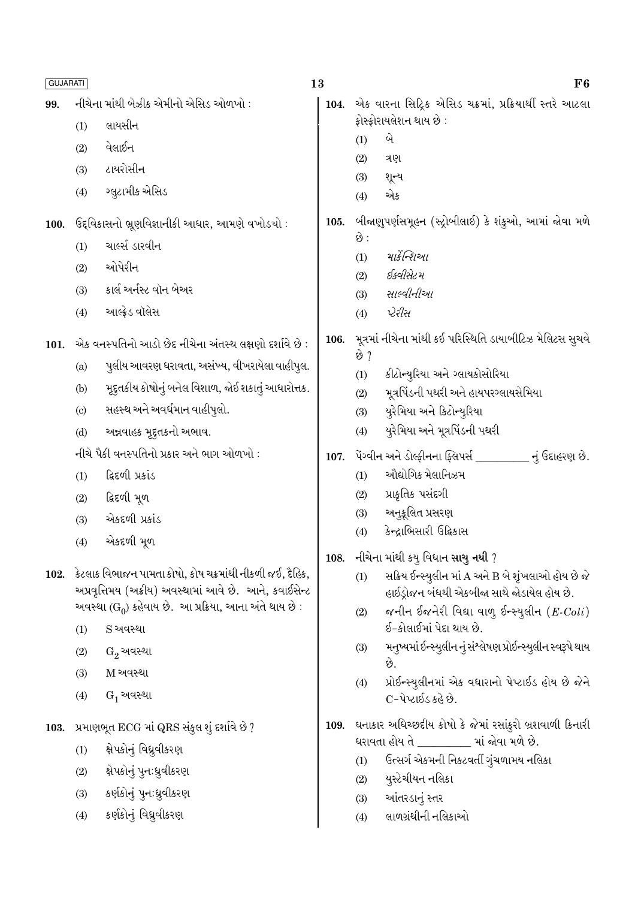| <b>GUJARATI</b> |                            |                                                                                                                         | 13   |                                                 | F6                                                                                                  |
|-----------------|----------------------------|-------------------------------------------------------------------------------------------------------------------------|------|-------------------------------------------------|-----------------------------------------------------------------------------------------------------|
| 99.             |                            | નીચેના માંથી બેઝીક એમીનો એસિડ ઓળખો :                                                                                    | 104. |                                                 | એક વારના સિદ્રિક એસિડ ચક્રમાં, પ્રક્રિયાર્થી સ્તરે આટલા                                             |
|                 | (1)                        | લાયસીન                                                                                                                  |      | ફોસ્ફોરાયલેશન થાય છે :                          |                                                                                                     |
|                 | (2)                        | વેલાઈન                                                                                                                  |      | બે<br>(1)                                       |                                                                                                     |
|                 | (3)                        | ટાયરોસીન                                                                                                                |      | (2)<br>ત્રણ<br>શૂન્ય<br>(3)                     |                                                                                                     |
|                 | (4)                        | ગ્લુટામીક એસિડ                                                                                                          |      | એક<br>(4)                                       |                                                                                                     |
| 100.            |                            | ઉદ્દવિકાસનો ભ્રૂણવિજ્ઞાનીકી આધાર, આમણે વખોડચો :                                                                         | 105. |                                                 | બીજાણુપર્ણસમૂહન (સ્ટ્રોબીલાઈ) કે શંકુઓ, આમાં જોવા મળે                                               |
|                 | (1)                        | ચાર્લ્સ ડારવીન                                                                                                          |      | છે :<br>માર્કેન્શિઓ                             |                                                                                                     |
|                 | (2)                        | ઓપેરીન                                                                                                                  |      | (1)<br>ઈક્વીસેટમ<br>(2)                         |                                                                                                     |
|                 | (3)                        | કાર્લ અર્નસ્ટ વૉન બેઅર                                                                                                  |      | સાલ્વીનીઆ<br>(3)                                |                                                                                                     |
|                 | (4)                        | આલ્ફ્રેડ વૉલેસ                                                                                                          |      | પેરીસ<br>(4)                                    |                                                                                                     |
| 101.            |                            | એક વનસ્પતિનો આડો છેદ નીચેના અંતસ્થ લક્ષણો દર્શાવે છે :                                                                  | 106. | છે ?                                            | મૂત્રમાં નીચેના માંથી કઈ પરિસ્થિતિ ડાયાબીટિઝ મેલિટસ સુચવે                                           |
|                 | (a)                        | પુલીય આવરણ ધરાવતા, અસંખ્ય, વીખરાયેલા વાહીપુલ.                                                                           |      | કીટોન્યુરિયા અને ગ્લાયકોસોરિયા<br>(1)           |                                                                                                     |
|                 | (b)                        | મૂદ્દતકીય કોષોનું બનેલ વિશાળ, જોઈ શકાતું આધારોત્તક.                                                                     |      | (2)                                             | મૂત્રપિંડની પથરી અને હાયપરગ્લાયસેમિયા                                                               |
|                 | $\left( \mathrm{c}\right)$ | સહસ્થ અને અવર્ધમાન વાહીપુલો.                                                                                            |      | યુરેમિયા અને કિટોન્યુરિયા<br>(3)                |                                                                                                     |
|                 | (d)                        | અન્નવાહક મૂદુતકનો અભાવ.                                                                                                 |      | યુરેમિયા અને મૂત્રપિંડની પથરી<br>(4)            |                                                                                                     |
|                 |                            | નીચે પૈકી વનસ્પતિનો પ્રકાર અને ભાગ ઓળખો :                                                                               | 107. |                                                 | પેંગ્વીન અને ડોલ્ફીનના ફ્લિપર્સ _________ નું ઉદાહરણ છે.                                            |
|                 | (1)                        | ફિદળી પ્રકાંડ                                                                                                           |      | ઔદ્યોગિક મેલાનિઝમ<br>(1)                        |                                                                                                     |
|                 | (2)                        | દ્વિદળી મૂળ                                                                                                             |      | પ્રાકૃતિક પસંદગી<br>(2)                         |                                                                                                     |
|                 | (3)                        | એકદળી પ્રકાંડ                                                                                                           |      | અનુકૂલિત પ્રસરણ<br>(3)                          |                                                                                                     |
|                 | (4)                        | એકદળી મૂળ                                                                                                               |      | કેન્દ્રાભિસારી ઉદ્વિકાસ<br>(4)                  |                                                                                                     |
|                 |                            |                                                                                                                         | 108. | નીચેના માંથી કયુ વિધાન સાચુ નથી ?               |                                                                                                     |
|                 |                            | 102. કેટલાક વિભાજન પામતા કોષો, કોષ ચક્રમાંથી નીકળી જઈ, દૈહિક,<br>અપ્રવૃત્તિમય (અક્રીય) અવસ્થામાં આવે છે. આને, કવાઈસેન્ટ |      | (1)                                             | સક્રિય ઈન્સ્યુલીન માં A અને B બે શૃંખલાઓ હોય છે જે                                                  |
|                 |                            | અવસ્થા ( $G_0$ ) કહેવાય છે.  આ પ્રક્રિયા, આના અંતે થાય છે :                                                             |      |                                                 | હાઈડ્રોજન બંધથી એકબીજા સાથે જોડાયેલ હોય છે.<br>જનીન ઈજનેરી વિદ્યા વાળુ ઈન્સ્યુલીન $(E\text{-}Coli)$ |
|                 | (1)                        | S અવસ્થા                                                                                                                |      | (2)<br>ઈ-કોલાઈમાં પેદા થાય છે.                  |                                                                                                     |
|                 | (2)                        | $G_2$ અવસ્થા                                                                                                            |      | (3)                                             | મનુષ્યમાં ઈન્સ્યુલીન નું સંશ્લેષણ પ્રોઈન્સ્યુલીન સ્વરૂપે થાય                                        |
|                 | (3)                        | M અવસ્થા                                                                                                                |      | છે.                                             | પ્રોઈન્સ્યુલીનમાં એક વધારાનો પેપ્ટાઈડ હોય છે જેને                                                   |
|                 | (4)                        | $G_1$ અવસ્થા                                                                                                            |      | (4)<br>C-પેપ્ટાઈડ કહે છે.                       |                                                                                                     |
| 103.            |                            | પ્રમાણભૂત ECG માં QRS સંકુલ શું દર્શાવે છે ?                                                                            |      |                                                 | 109. ઘનાકાર અધિચ્છદીય કોષો કે જેમાં રસાંકુરો બ્રશવાળી કિનારી                                        |
|                 | (1)                        | ક્ષેપકોનું વિઘ્રુવીકરણ                                                                                                  |      | ધરાવતા હોય તે _________ માં જોવા મળે છે.<br>(1) | ઉત્સર્ગ એકમની નિકટવર્તી ગુંચળામય નલિકા                                                              |
|                 | (2)                        | ક્ષેપકોનું પુનઃધ્રુવીકરણ                                                                                                |      | યુસ્ટેચીયન નલિકા<br>(2)                         |                                                                                                     |
|                 | (3)                        | કર્ણકોનું પુનઃધ્રુવીકરણ                                                                                                 |      | આંતરડાનું સ્તર<br>(3)                           |                                                                                                     |
|                 | (4)                        | કર્ણકોનું વિઘ્રુવીકરણ                                                                                                   |      | લાળગ્રંથીની નલિકાઓ<br>(4)                       |                                                                                                     |
|                 |                            |                                                                                                                         |      |                                                 |                                                                                                     |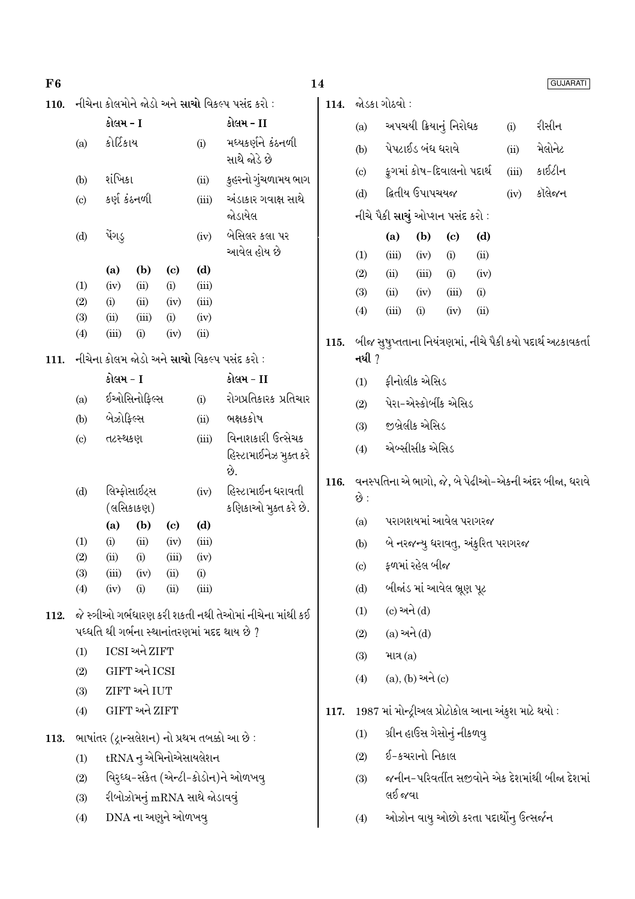| F6   |                                             |               |               |                                   |                                   |                                                         | 14                   |                            |                                                                       |                                  |                            |                                                    |         | <b>GUJARATI</b>                                              |
|------|---------------------------------------------|---------------|---------------|-----------------------------------|-----------------------------------|---------------------------------------------------------|----------------------|----------------------------|-----------------------------------------------------------------------|----------------------------------|----------------------------|----------------------------------------------------|---------|--------------------------------------------------------------|
| 110. |                                             |               |               |                                   |                                   | નીચેના કોલમોને જોડો અને સાચો વિકલ્પ પસંદ કરો :          | 114.                 |                            | જોડકા ગોઠવો ∶                                                         |                                  |                            |                                                    |         |                                                              |
|      |                                             | કોલમ - I      |               |                                   |                                   | કોલમ - II                                               |                      | (a)                        |                                                                       | અપચયી ક્રિયાનું નિરોધક           |                            |                                                    | (i)     | રીસીન                                                        |
|      | (a)                                         | કોર્ટિકાય     |               | (i)                               | મધ્યકર્ણને કંઠનળી<br>સાથે જોડે છે |                                                         | (b)                  |                            | પેપટાઈડ બંધ ધરાવે                                                     |                                  |                            | (ii)                                               | મેલોનેટ |                                                              |
|      | (b)                                         | શંખિકા        |               |                                   | (ii)                              | કુહરનો ગુંચળામય ભાગ                                     |                      | $\left( \mathrm{c}\right)$ |                                                                       | કુગમાં કોષ-દિવાલનો પદાર્થ        |                            |                                                    | (iii)   | કાઈટીન                                                       |
|      | (c)                                         | કર્ણ કંઠનળી   |               |                                   | (iii)                             | અંડાકાર ગવાક્ષ સાથે                                     |                      | (d)                        |                                                                       | દ્વિતીય ઉપાપચયજ                  |                            |                                                    | (iv)    | કૉલેજન                                                       |
|      |                                             |               |               |                                   |                                   | જોડાયેલ                                                 |                      |                            |                                                                       | નીચે પૈકી સાચું ઓપ્શન પસંદ કરો : |                            |                                                    |         |                                                              |
|      | (d)                                         | પેંગડ્        |               |                                   | (iv)                              | બેસિલર કલા પર                                           |                      |                            | (a)                                                                   | (b)                              | $\left( \mathrm{c}\right)$ | (d)                                                |         |                                                              |
|      |                                             |               |               |                                   |                                   | આવેલ હોય છે                                             |                      | (1)                        | (iii)                                                                 | (iv)                             | (i)                        | (ii)                                               |         |                                                              |
|      | (1)                                         | (a)<br>(iv)   | (b)<br>(ii)   | $\left( \mathrm{c}\right)$<br>(i) | (d)<br>(iii)                      |                                                         |                      | (2)                        | (ii)                                                                  | (iii)                            | (i)                        | (iv)                                               |         |                                                              |
|      | (2)                                         | (i)           | (ii)          | (iv)                              | (iii)                             |                                                         |                      | (3)                        | (ii)                                                                  | (iv)                             | (iii)                      | (i)                                                |         |                                                              |
|      | (3)                                         | (ii)          | (iii)         | (i)                               | (iv)                              |                                                         |                      | (4)                        | (iii)                                                                 | (i)                              | (iv)                       | (ii)                                               |         |                                                              |
|      | (4)                                         | (iii)         | (i)           | (iv)                              | (ii)                              |                                                         | 115.                 |                            |                                                                       |                                  |                            |                                                    |         | બીજ સુષુપ્તતાના નિયંત્રણમાં, નીચે પૈકી કયો પદાર્થ અટકાવકર્તા |
| 111. | નીચેના કોલમ જોડો અને સાચો વિકલ્પ પસંદ કરો : |               |               |                                   |                                   | નથી ?                                                   |                      |                            |                                                                       |                                  |                            |                                                    |         |                                                              |
|      | કોલમ - I<br>ઈઓસિનોફિલ્સ<br>(a)<br>(i)       |               |               | કોલમ - II                         |                                   | (1)                                                     | ફીનોલીક એસિડ         |                            |                                                                       |                                  |                            |                                                    |         |                                                              |
|      |                                             |               |               | રોગપ્રતિકારક પ્રતિચાર             |                                   | (2)                                                     | પેરા-એસ્કોર્બીક એસિડ |                            |                                                                       |                                  |                            |                                                    |         |                                                              |
|      | (b)                                         | બેઝોફિલ્સ     |               |                                   | (ii)                              | ભક્ષકકોષ                                                |                      | (3)                        |                                                                       | જીબ્રેલીક એસિડ                   |                            |                                                    |         |                                                              |
|      | (c)                                         | તટસ્થકણ       |               |                                   | (iii)                             | વિનાશકારી ઉત્સેચક                                       |                      | (4)                        | એબ્સીસીક એસિડ<br>વનસ્પતિના એ ભાગો, જે, બે પેઢીઓ-એકની અંદર બીજા, ધરાવે |                                  |                            |                                                    |         |                                                              |
|      |                                             |               |               |                                   |                                   | હિસ્ટામાઈનેઝ મુક્ત કરે<br>છે.                           |                      |                            |                                                                       |                                  |                            |                                                    |         |                                                              |
|      | (d)                                         |               | લિમ્ફોસાઈટ્સ  |                                   | (iv)                              | હિસ્ટામાઈન ધરાવતી                                       | 116.                 |                            |                                                                       |                                  |                            |                                                    |         |                                                              |
|      |                                             |               | (લસિકાકણ)     |                                   |                                   | કણિકાઓ મુક્ત કરે છે.                                    |                      | છે :                       |                                                                       |                                  |                            |                                                    |         |                                                              |
|      |                                             | (a)           | (b)           | $\left( \mathrm{c}\right)$        | (d)                               |                                                         |                      | (a)                        |                                                                       | પરાગશયમાં આવેલ પરાગરજ            |                            |                                                    |         |                                                              |
|      | (1)                                         | (i)           | (ii)          | (iv)<br>(iii)                     | (iii)<br>(iv)                     |                                                         |                      | (b)                        |                                                                       |                                  |                            | બે નરજન્યુ ધરાવતુ, અંકુરિત પરાગરજ                  |         |                                                              |
|      | (2)<br>(3)                                  | (ii)<br>(iii) | (i)<br>(iv)   | (ii)                              | (i)                               |                                                         |                      | $\left( \text{c} \right)$  |                                                                       | ફળમાં રહેલ બીજ                   |                            |                                                    |         |                                                              |
|      | (4)                                         | (iv)          | (i)           | (ii)                              | (iii)                             |                                                         |                      | (d)                        |                                                                       | બીજાંડ માં આવેલ ભ્રૂણ પૂટ        |                            |                                                    |         |                                                              |
| 112. |                                             |               |               |                                   |                                   | જે સ્ત્રીઓ ગર્ભધારણ કરી શકતી નથી તેઓમાં નીચેના માંથી કઈ |                      | (1)                        |                                                                       | $(c)$ અને $(d)$                  |                            |                                                    |         |                                                              |
|      |                                             |               |               |                                   |                                   | પધ્ધતિ થી ગર્ભના સ્થાનાંતરણમાં મદદ થાય છે ?             |                      | (2)                        |                                                                       | $(a)$ અને $(d)$                  |                            |                                                    |         |                                                              |
|      | (1)                                         |               | ICSI અને ZIFT |                                   |                                   |                                                         |                      | (3)                        | માત્ર $(a)$                                                           |                                  |                            |                                                    |         |                                                              |
|      | (2)                                         |               | GIFT અને ICSI |                                   |                                   |                                                         |                      | (4)                        |                                                                       | $(a), (b)$ અને $(c)$             |                            |                                                    |         |                                                              |
|      | (3)                                         |               | ZIFT અને IUT  |                                   |                                   |                                                         |                      |                            |                                                                       |                                  |                            |                                                    |         |                                                              |
|      | (4)                                         |               | GIFT અને ZIFT |                                   |                                   |                                                         | 117.                 |                            |                                                                       |                                  |                            | 1987 માં મોન્ટ્રીઅલ પ્રોટોકોલ આના અંકુશ માટે થયો : |         |                                                              |
| 113. |                                             |               |               |                                   |                                   | ભાષાંતર (દ્રાન્સલેશન) નો પ્રથમ તબક્કો આ છે:             |                      | (1)                        |                                                                       | ગ્રીન હાઉસ ગેસોનું નીકળવુ        |                            |                                                    |         |                                                              |
|      | (1)                                         |               |               |                                   | tRNA નુ એમિનોએસાયલેશન             |                                                         |                      | (2)                        |                                                                       | ઈ-કચરાનો નિકાલ                   |                            |                                                    |         |                                                              |
|      | (2)                                         |               |               |                                   |                                   | વિરુઘ્ધ-સંકેત (એન્ટી-કોડોન)ને ઓળખવુ                     |                      | (3)                        |                                                                       |                                  |                            |                                                    |         | જનીન-પરિવર્તીત સજીવોને એક દેશમાંથી બીજા દેશમાં               |
|      | (3)                                         |               |               |                                   | રીબોઝોમનું mRNA સાથે જોડાવવું     |                                                         |                      |                            | લઈ જવા                                                                |                                  |                            |                                                    |         |                                                              |
|      | (4)                                         |               |               | DNA ના અણુને ઓળખવુ                |                                   |                                                         |                      | (4)                        |                                                                       |                                  |                            | ઓઝોન વાયુ ઓછો કરતા પદાર્થોનુ ઉત્સર્જન              |         |                                                              |
|      |                                             |               |               |                                   |                                   |                                                         |                      |                            |                                                                       |                                  |                            |                                                    |         |                                                              |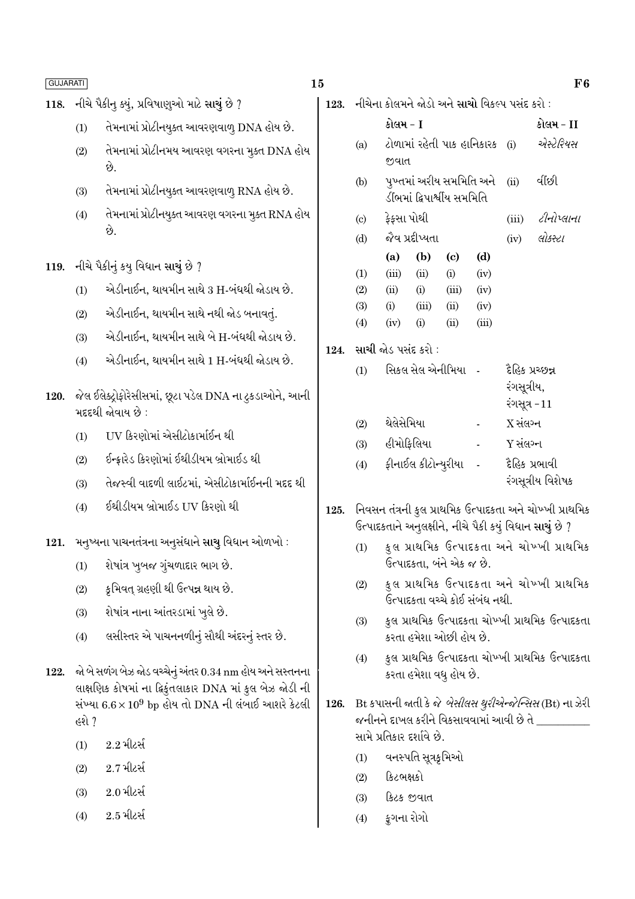118. નીચે પૈકીન ક્યું. પ્રવિષાણઓ માટે સાચું છે ?

F<sub>6</sub>

લોકસ્ટા

 $(iv)$ 

|      | (1) | તેમનામાં પ્રોટીનયુક્ત આવરણવાળુ DNA હોય છે.                                                                                                                                         |                 |
|------|-----|------------------------------------------------------------------------------------------------------------------------------------------------------------------------------------|-----------------|
|      | (2) | તેમનામાં પ્રોટીનમય આવરણ વગરના મુક્ત DNA હોય<br>છે.                                                                                                                                 |                 |
|      | (3) | તેમનામાં પ્રોટીનયુક્ત આવરણવાળુ RNA હોય છે.                                                                                                                                         |                 |
|      | (4) | તેમનામાં પ્રોટીનયુક્ત આવરણ વગરના મુક્ત RNA હોય<br>છે.                                                                                                                              |                 |
| 119. |     | નીચે પૈકીનું કયુ વિધાન સાચું છે ?                                                                                                                                                  |                 |
|      | (1) | એડીનાઈન, થાયમીન સાથે 3 H-બંધથી જોડાય છે.                                                                                                                                           |                 |
|      | (2) | એડીનાઈન, થાયમીન સાથે નથી જોડ બનાવતું.                                                                                                                                              |                 |
|      | (3) | એડીનાઈન, થાયમીન સાથે બે H-બંધથી જોડાય છે.                                                                                                                                          |                 |
|      | (4) | એડીનાઈન, થાયમીન સાથે 1 H-બંધથી જોડાય છે.                                                                                                                                           | 12 <sub>4</sub> |
| 120. |     | જેલ ઈલેક્ટ્રોફોરેસીસમાં, છૂટા પડેલ DNA ના ટુકડાઓને, આની<br>મદદથી જોવાય છે :                                                                                                        |                 |
|      | (1) | UV કિરણોમાં એસીટોકાર્માઈન થી                                                                                                                                                       |                 |
|      | (2) | ઈન્ફ્રારેડ કિરણોમાં ઈથીડીયમ બ્રોમાઈડ થી                                                                                                                                            |                 |
|      | (3) | તેજસ્વી વાદળી લાઈટમાં, એસીટોકાર્માઈનની મદદ થી                                                                                                                                      |                 |
|      | (4) | ઈથીડીયમ બ્રોમાઈડ UV કિરણો થી                                                                                                                                                       | 12 <sub>i</sub> |
| 121. |     | મનુષ્યના પાચનતંત્રના અનુસંધાને સાચુ વિધાન ઓળખો :                                                                                                                                   |                 |
|      | (1) | શેષાંત્ર ખુબજ ગુંચળાદાર ભાગ છે.                                                                                                                                                    |                 |
|      | (2) | કૃમિવત્ ગ્રહણી થી ઉત્પન્ન થાય છે.                                                                                                                                                  |                 |
|      | (3) | શેષાંત્ર નાના આંતરડામાં ખુલે છે.                                                                                                                                                   |                 |
|      | (4) | લસીસ્તર એ પાચનનળીનું સૌથી અંદરનું સ્તર છે.                                                                                                                                         |                 |
| 122. |     | જો બે સળંગ બેઝ જોડ વચ્ચેનું અંતર 0.34 nm હોય અને સસ્તનના<br>લાક્ષણિક કોષમાં ના દ્વિકુંતલાકાર DNA માં કુલ બેઝ જોડી ની<br>સંખ્યા $6.6 \times 10^9$ bp હોય તો DNA ની લંબાઈ આશરે કેટલી | 12 <sub>0</sub> |

- હશે ?
- $2.2$  મીટર્સ  $(1)$
- $2.7$  મીટર્સ  $(2)$
- $2.0$  મીટર્સ  $(3)$
- $2.5$  મીટર્સ  $(4)$

| 123. નીચેના કોલમને જોડો અને સાચો વિકલ્પ પસંદ કરો : |     |                                                                          |  |           |  |  |
|----------------------------------------------------|-----|--------------------------------------------------------------------------|--|-----------|--|--|
|                                                    |     | કોલમ - I                                                                 |  | કોલમ - II |  |  |
|                                                    | (a) | <u>ટોળામાં રહેતી પાક હાનિકારક (i)</u>                                    |  | એસ્ટેરિયસ |  |  |
|                                                    |     | જીવાત<br>่ บุษสมเจมอิยุ มุษเมิ $\overline{AB}$ สมสิ $\overline{AB}$ (ii) |  |           |  |  |

- પુખ્તમાં અરાવ સમામાત અને  $(b)$  $\rm (II)$ યાછા ડીંભમાં દ્વિપાર્શ્વીય સમમિતિ
	- ફેફસા પોથી ટીનોપ્લાના  $(iii)$
- જેવ પ્રદીપ્યતા  $(d)$  $\sim$   $\sim$  $\lambda$

|     | (a)   | (b)      | (C)   | (d)   |
|-----|-------|----------|-------|-------|
| (1) | (iii) | $\sin$   | (i)   | (iv)  |
| (2) | (ii)  | (i)      | (iii) | (iv)  |
| (3) | (i)   | (iii)    | (ii)  | (iv)  |
| (4) | (iv)  | $\rm(i)$ | (ii)  | (iii) |
|     |       |          |       |       |

4. સાચી જોડ પસંદ કરો :

 $(c)$ 

|                     |                  | દેહિક પ્રચ્છન્ન<br>રંગસૂત્રીય,<br>રંગસૂત્ર $-11$ |
|---------------------|------------------|--------------------------------------------------|
| થેલેસેમિયા          |                  | X સંલગ્ન                                         |
| હીમોફિલિયા          |                  | Y સંલગ્ન                                         |
| ફીનાઈલ કીટોન્યુરીયા |                  | દૈહિક પ્રભાવી<br>રંગસૂત્રીય વિશેષક               |
|                     | સિકલ સેલ એનીમિયા |                                                  |

- 5. નિવસન તંત્રની કુલ પ્રાથમિક ઉત્પાદકતા અને ચોખ્ખી પ્રાથમિક ઉત્પાદકતાને અનુલક્ષીને, નીચે પૈકી કયું વિધાન સાચું છે ?
	- કુલ પ્રાથમિક ઉત્પાદકતા અને ચોખ્ખી પ્રાથમિક  $(1)$ ઉત્પાદકતા, બંને એક જ છે.
	- કુલ પ્રાથમિક ઉત્પાદકતા અને ચોખ્ખી પ્રાથમિક  $(2)$ ઉત્પાદકતા વચ્ચે કોઈ સંબંધ નથી.
	- કુલ પ્રાથમિક ઉત્પાદકતા ચોખ્ખી પ્રાથમિક ઉત્પાદકતા  $(3)$ કરતા હમેશા ઓછી હોય છે.
	- કુલ પ્રાથમિક ઉત્પાદકતા ચોખ્ખી પ્રાથમિક ઉત્પાદકતા  $(4)$ કરતા હમેશા વધુ હોય છે.
- Bt કપાસની જાતી કે જે *બેસીલસ થુરીએન્જેન્સિસ* (Bt) ના ઝેરી 126. જનીનને દાખલ કરીને વિકસાવવામાં આવી છે તે \_\_\_\_\_\_\_\_\_ સામે પ્રતિકાર દર્શાવે છે.
	- $(1)$  વનસ્પતિ સૂત્રકૃમિઓ
	- $(2)$  કિટભક્ષકો
	- કિટક જીવાત  $(3)$
	- કુગના રોગો  $(4)$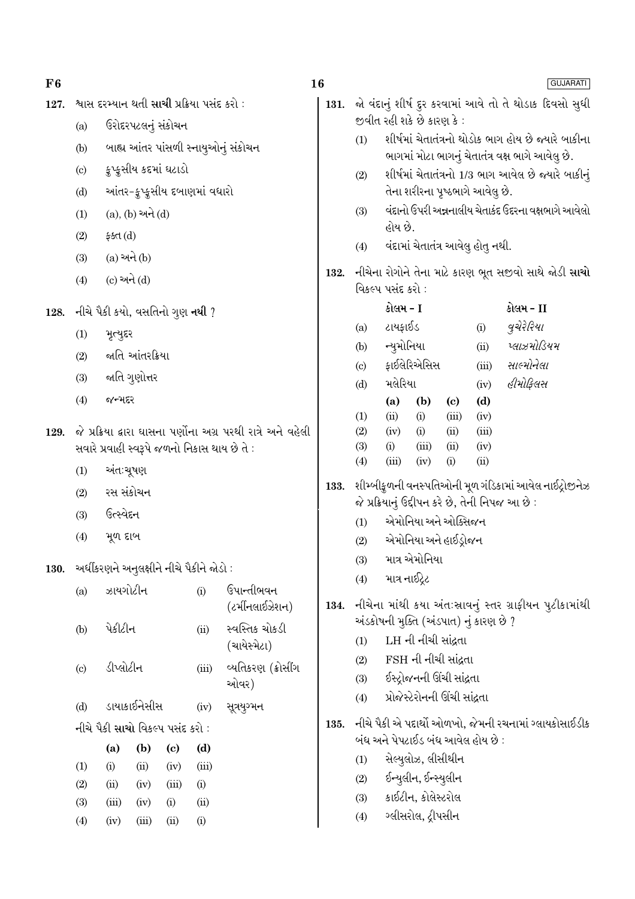| 127. |                                                              | શ્વાસ દરમ્યાન થતી સાચી પ્રક્રિયા પસંદ કરો :  |                      |                             |                              |                                       | 131.                                                    | જો વંદાનું શીર્ષ દુર કરવામાં આવે તો તે થોડાક દિવસો સુધી<br>જીવીત રહી શકે છે કારણ કે: |                                                                                  |                                   |              |             |                                                                                                            |  |
|------|--------------------------------------------------------------|----------------------------------------------|----------------------|-----------------------------|------------------------------|---------------------------------------|---------------------------------------------------------|--------------------------------------------------------------------------------------|----------------------------------------------------------------------------------|-----------------------------------|--------------|-------------|------------------------------------------------------------------------------------------------------------|--|
|      | (a)                                                          |                                              |                      | ઉરોદરપટલનું સંકોચન          |                              |                                       |                                                         |                                                                                      |                                                                                  |                                   |              |             |                                                                                                            |  |
|      | (b)                                                          |                                              |                      |                             |                              | બાહ્ય આંતર પાંસળી સ્નાયુઓનું સંકોચન   |                                                         | (1)                                                                                  |                                                                                  |                                   |              |             | શીર્ષમાં ચેતાતંત્રનો થોડોક ભાગ હોય છે જ્યારે બાકીના<br>ભાગમાં મોટા ભાગનું ચેતાતંત્ર વક્ષ ભાગે આવેલુ છે.    |  |
|      | (c)                                                          |                                              |                      | ક્રુપ્કુસીય કદમાં ઘટાડો     |                              |                                       |                                                         | (2)                                                                                  |                                                                                  |                                   |              |             | શીર્ષમાં ચેતાતંત્રનો 1/3 ભાગ આવેલ છે જ્યારે બાકીનું                                                        |  |
|      | (d)                                                          |                                              |                      |                             | આંતર-ફુપ્કુસીય દબાણમાં વધારો |                                       |                                                         |                                                                                      |                                                                                  | તેના શરીરના પૃષ્ઠભાગે આવેલુ છે.   |              |             |                                                                                                            |  |
|      | (1)                                                          |                                              | $(a), (b)$ અને $(d)$ |                             |                              |                                       |                                                         | (3)                                                                                  | વંદાનો ઉપરી અન્નનાલીય ચેતાકંદ ઉદરના વક્ષભાગે આવેલો<br>હોય છે.                    |                                   |              |             |                                                                                                            |  |
|      | (2)                                                          | ફક્ત $(d)$                                   |                      |                             |                              |                                       |                                                         |                                                                                      |                                                                                  |                                   |              |             |                                                                                                            |  |
|      | (3)                                                          |                                              | $(a)$ અને $(b)$      |                             |                              |                                       |                                                         | (4)                                                                                  |                                                                                  | વંદામાં ચેતાતંત્ર આવેલુ હોતુ નથી. |              |             |                                                                                                            |  |
|      | (4)                                                          | $(c)$ અને $(d)$                              |                      |                             |                              |                                       | 132.                                                    |                                                                                      | નીચેના રોગોને તેના માટે કારણ ભૂત સજીવો સાથે જોડી <b>સાચો</b><br>વિકલ્પ પસંદ કરો: |                                   |              |             |                                                                                                            |  |
| 128. | નીચે પૈકી કયો, વસતિનો ગુણ <b>નથી</b> ?                       |                                              |                      |                             |                              |                                       |                                                         | કોલમ - I<br>કોલમ - II                                                                |                                                                                  |                                   |              |             |                                                                                                            |  |
|      | (1)<br>મૃત્યુદર                                              |                                              |                      |                             |                              |                                       |                                                         | (a)                                                                                  | ટાયફાઈડ                                                                          |                                   |              | (i)         | વુચેરેરિયા                                                                                                 |  |
|      | (2)                                                          |                                              | જાતિ આંતરક્રિયા      |                             |                              |                                       |                                                         |                                                                                      |                                                                                  | ન્યુમોનિયા                        |              | (ii)        | પ્લાઝમોડિયમ                                                                                                |  |
|      | (3)                                                          |                                              | જાતિ ગુણોત્તર        |                             |                              |                                       |                                                         | $\left( \mathrm{c}\right)$                                                           |                                                                                  | ફાઈલેરિએસિસ                       |              |             | સાલ્મોનેલા<br>(iii)                                                                                        |  |
|      | (4)                                                          | જન્મદર                                       |                      |                             |                              |                                       |                                                         | મલેરિયા<br>(d)<br>(a)<br>(b)                                                         |                                                                                  |                                   |              | (iv)<br>(d) | હીમોફિલસ                                                                                                   |  |
|      |                                                              |                                              |                      |                             |                              |                                       |                                                         | (1)                                                                                  | (ii)                                                                             | (i)                               | (c)<br>(iii) | (iv)        |                                                                                                            |  |
| 129. | જે પ્રક્રિયા દ્વારા ઘાસના પર્ણોના અગ્ર પરથી રાત્રે અને વહેલી |                                              |                      |                             |                              | (2)                                   | (iv)                                                    | (i)                                                                                  | (ii)                                                                             | (iii)                             |              |             |                                                                                                            |  |
|      |                                                              | સવારે પ્રવાહી સ્વરૂપે જળનો નિકાસ થાય છે તે : |                      |                             |                              |                                       | (3)<br>(4)                                              | (i)<br>(iii)                                                                         | (iii)<br>(iv)                                                                    | (ii)<br>(i)                       | (iv)<br>(ii) |             |                                                                                                            |  |
|      | અંત:ચૂષણ<br>(1)                                              |                                              |                      |                             |                              |                                       |                                                         |                                                                                      |                                                                                  |                                   |              |             |                                                                                                            |  |
|      | (2)                                                          | રસ સંકોચન                                    |                      |                             |                              |                                       | 133.                                                    |                                                                                      |                                                                                  |                                   |              |             | શીમ્બીકુળની વનસ્પતિઓની મૂળ ગંડિકામાં આવેલ નાઈદ્રોજીનેઝ<br>જે પ્રક્રિયાનું ઉદ્દીપન કરે છે, તેની નિપજ આ છે : |  |
|      | (3)                                                          | ઉત્સ્વેદન                                    |                      |                             |                              |                                       |                                                         | (1)                                                                                  |                                                                                  | એમોનિયા અને ઓક્સિજન               |              |             |                                                                                                            |  |
|      | (4)                                                          | મૂળ દાબ                                      |                      |                             |                              |                                       |                                                         | (2)                                                                                  | એમોનિયા અને હાઈડ્રોજન                                                            |                                   |              |             |                                                                                                            |  |
|      |                                                              |                                              |                      |                             |                              |                                       |                                                         | (3)                                                                                  | માત્ર એમોનિયા                                                                    |                                   |              |             |                                                                                                            |  |
| 130. | અર્ધીકરણને અનુલક્ષીને નીચે પૈકીને જોડો :<br>ઝાયગોટીન         |                                              |                      |                             |                              |                                       |                                                         | (4)                                                                                  | માત્ર નાઈટ્રેટ                                                                   |                                   |              |             |                                                                                                            |  |
|      | (a)                                                          |                                              |                      |                             | (i)                          | ઉપાન્તીભવન<br>(ટર્મીનલાઈઝેશન)<br>134. | નીચેના માંથી કયા અંતઃસ્રાવનું સ્તર ગ્રાફીયન પુટીકામાંથી |                                                                                      |                                                                                  |                                   |              |             |                                                                                                            |  |
|      | (b)                                                          | પેકીટીન                                      |                      |                             | (ii)                         | સ્વસ્તિક ચોકડી                        |                                                         |                                                                                      | અંડકોષની મુક્તિ (અંડપાત) નું કારણ છે ?                                           |                                   |              |             |                                                                                                            |  |
|      |                                                              |                                              |                      |                             |                              | (ચાયેસ્મેટા)                          |                                                         | (1)                                                                                  |                                                                                  | LH ની નીચી સાંદ્રતા               |              |             |                                                                                                            |  |
|      | (c)                                                          | ડીપ્લોટીન                                    |                      |                             | (iii)                        | વ્યતિકરણ (ક્રોસીંગ                    |                                                         | (2)                                                                                  |                                                                                  | FSH ની નીચી સાંદ્રતા              |              |             |                                                                                                            |  |
|      |                                                              |                                              |                      |                             |                              | ઓવર)                                  |                                                         | ઈસ્ટ્રોજનની ઊંચી સાંદ્રતા<br>(3)<br>પ્રોજેસ્ટેરોનની ઊંચી સાંદ્રતા                    |                                                                                  |                                   |              |             |                                                                                                            |  |
|      | (d)                                                          |                                              | ડાયાકાઈનેસીસ         |                             | (iv)                         | સૂત્રયુગ્મન                           |                                                         | (4)                                                                                  |                                                                                  |                                   |              |             |                                                                                                            |  |
|      |                                                              | નીચે પૈકી સાચો વિકલ્પ પસંદ કરો :             |                      |                             |                              |                                       | 135.                                                    |                                                                                      | બંધ અને પેપટાઈડ બંધ આવેલ હોય છે :                                                |                                   |              |             | નીચે પૈકી એ પદાર્થો ઓળખો, જેમની રચનામાં ગ્લાયકોસાઈડીક                                                      |  |
|      |                                                              | (a)                                          | (b)                  | $\left( \mathbf{c} \right)$ | (d)                          |                                       |                                                         | (1)                                                                                  |                                                                                  | સેલ્યુલોઝ, લીસીથીન                |              |             |                                                                                                            |  |
|      | (1)                                                          | (i)                                          | (ii)                 | (iv)                        | (iii)                        |                                       |                                                         | (2)                                                                                  |                                                                                  | ઈન્યુલીન, ઈન્સ્યુલીન              |              |             |                                                                                                            |  |
|      | (2)                                                          | (ii)                                         | (iv)                 | (iii)                       | (i)                          |                                       |                                                         | (3)                                                                                  |                                                                                  | કાઈટીન, કોલેસ્ટરોલ                |              |             |                                                                                                            |  |
|      | (3)<br>(4)                                                   | (iii)<br>(iv)                                | (iv)<br>(iii)        | (i)<br>(ii)                 | (ii)<br>(i)                  |                                       |                                                         | (4)                                                                                  |                                                                                  | ગ્લીસરોલ, ટ્રીપસીન                |              |             |                                                                                                            |  |
|      |                                                              |                                              |                      |                             |                              |                                       |                                                         |                                                                                      |                                                                                  |                                   |              |             |                                                                                                            |  |

 $16$ 

 $F6$ 

**GUJARATI**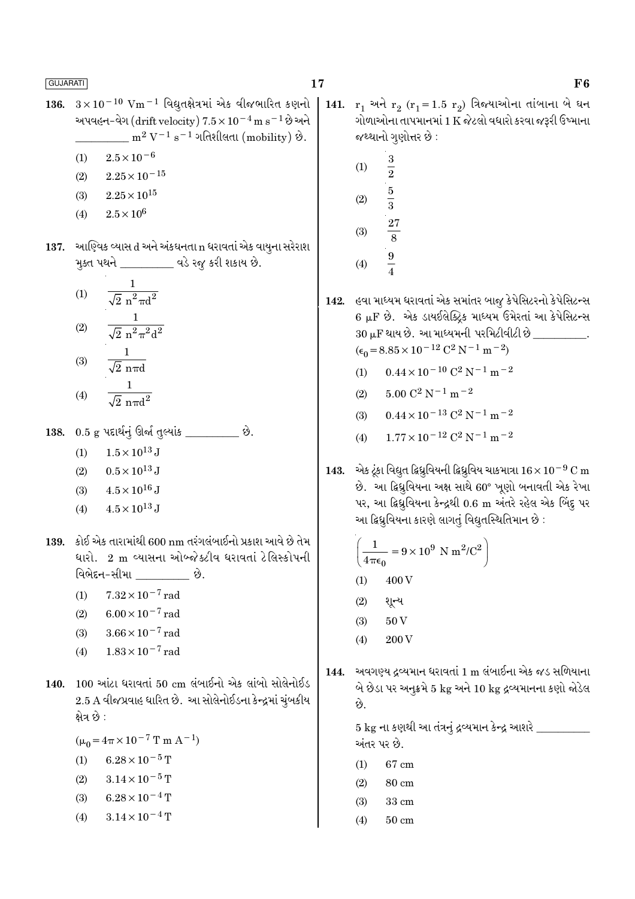- $3\times10^{-10}$  Vm<sup>-1</sup> વિદ્યૂતક્ષેત્રમાં એક વીજભારિત કણનો 136. અપવહન-વેગ (drift velocity)  $7.5 \times 10^{-4}$  m s<sup>-1</sup> છે અને  $\rm m^2\,V^{-1}\,s^{-1}$  ગતિશીલતા (mobility) છે.
	- $2.5 \times 10^{-6}$  $(1)$
	- $2.25 \times 10^{-15}$  $(2)$
	- $2.25 \times 10^{15}$  $(3)$
	- $2.5 \times 10^6$  $(4)$
- 137. આણ્વિક વ્યાસ d અને અંકઘનતા n ધરાવતાં એક વાયુના સરેરાશ મુક્ત પથને \_\_\_\_\_\_\_\_\_\_ વડે રજૂ કરી શકાય છે.
	- $\mathbf{1}$  $(1)$  $\sqrt{2} n^2 \pi d^2$  $\frac{1}{\sqrt{2} \; \text{n}^2 \pi^2 \text{d}^2}$  $(2)$  $(3)$
	- $(4)$
- $0.5~{\rm g}$  પદાર્થનું ઊર્જા તુલ્યાંક  $\_$ છે. 138.
	- $1.5 \times 10^{13}$  J  $(1)$
	- $0.5 \times 10^{13}$  J  $(2)$
	- $4.5 \times 10^{16}$  J  $(3)$
	- $4.5 \times 10^{13}$  J  $(4)$
- 139. કોઈ એક તારામાંથી 600 nm તરંગલંબાઈનો પ્રકાશ આવે છે તેમ ધારો. 2 m વ્યાસના ઓબ્જેક્ટીવ ધરાવતાં ટેલિસ્કોપની વિભેદન-સીમા છે.
	- $7.32 \times 10^{-7}$  rad  $(1)$
	- $6.00 \times 10^{-7}$  rad  $(2)$
	- $3.66 \times 10^{-7}$  rad  $(3)$
	- $1.83 \times 10^{-7}$  rad  $(4)$
- 140. 100 આંટા ધરાવતાં 50 cm લંબાઈનો એક લાંબો સોલેનોઈડ 2.5 A વીજપ્રવાહ ધારિત છે. આ સોલેનોઈડના કેન્દ્રમાં ચુંબકીય ક્ષેત્ર છે :

 $(\mu_0 = 4\pi \times 10^{-7} \text{ T m A}^{-1})$ 

- $6.28 \times 10^{-5}$  T  $(1)$
- $3.14 \times 10^{-5}$  T  $(2)$
- $6.28 \times 10^{-4}$  T  $(3)$
- $3.14 \times 10^{-4}$  T  $(4)$
- 141.  $r_1$  અને  $r_2$   $(r_1 = 1.5 r_2)$  ત્રિજ્યાઓના તાંબાના બે ઘન ગોળાઓના તાપમાનમાં 1 K જેટલો વધારો કરવા જરૂરી ઉષ્માના જથ્થાનો ગુણોત્તર છે :
	- $\overline{3}$  $(1)$  $\overline{2}$  $\frac{5}{3}$  $(2)$  $(3)$  $\overline{9}$  $(4)$
- 142. હવા માધ્યમ ધરાવતાં એક સમાંતર બાજુ કેપેસિટરનો કેપેસિટન્સ 6 µF છે. એક ડાયઈલેક્ટ્રિક માધ્યમ ઉમેરતાં આ કેપેસિટન્સ  $30 \,\mu\text{F}$  થાય છે. આ માધ્યમની પરમિટીવીટી છે  $\hskip1.5cm \ .$  $(\epsilon_0 = 8.85 \times 10^{-12} \text{ C}^2 \text{ N}^{-1} \text{ m}^{-2})$ 
	- (1)  $0.44 \times 10^{-10} \text{ C}^2 \text{ N}^{-1} \text{ m}^{-2}$
	- $5.00 \, \mathrm{C}^2 \,\mathrm{N}^{-1} \,\mathrm{m}^{-2}$  $(2)$
	- $0.44 \times 10^{-13}$  C<sup>2</sup> N<sup>-1</sup> m<sup>-2</sup>  $(3)$
	- $(4)$  $1.77 \times 10^{-12}$  C<sup>2</sup> N<sup>-1</sup> m<sup>-2</sup>
- એક ટૂંકા વિદ્યુત દ્વિધ્રુવિયની દ્વિધ્રુવિય ચાકમાત્રા  $16 \times 10^{-9}$  C m 143. છે. આ ફ્રિધ્રુવિયના અક્ષ સાથે 60° ખૂણો બનાવતી એક રેખા પર, આ ફિધ્રુવિયના કેન્દ્રથી 0.6 m અંતરે રહેલ એક બિંદુ પર આ દ્વિધ્રુવિયના કારણે લાગતું વિદ્યુતસ્થિતિમાન છે :

$$
\left(\frac{1}{4\pi\epsilon_0} = 9 \times 10^9 \text{ N m}^2/\text{C}^2\right)
$$

- $(1)$ 400 V
- $(2)$ શૂન્ય
- $(3)$ 50<sub>V</sub>
- 200 V  $(4)$
- અવગણ્ય દ્રવ્યમાન ધરાવતાં 1 m લંબાઈના એક જડ સળિયાના 144. બે છેડા પર અનૂક્રમે 5 kg અને 10 kg દ્રવ્યમાનના કણો જોડેલ છે.

5 kg ના કણથી આ તંત્રનું દ્રવ્યમાન કેન્દ્ર આશરે \_ અંતર પર છે.

- 67 cm  $(1)$
- $(2)$ 80 cm
- $(3)$ 33 cm
- $(4)$  $50 \text{ cm}$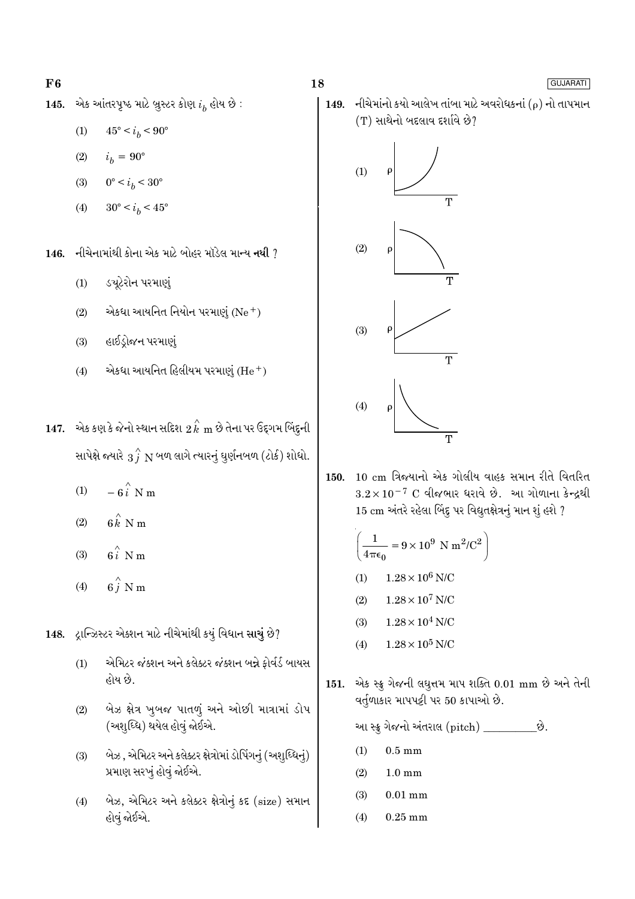### $F6$

એક આંતરપૃષ્ઠ માટે બ્રુસ્ટર કોણ  $i_h$  હોય છે : 145.

- $45^{\circ} < i_b < 90^{\circ}$  $(1)$
- $(2)$  $i_h = 90^{\circ}$
- $0^{\circ} < i_b < 30^{\circ}$  $(3)$
- $30^{\circ} < i_h < 45^{\circ}$  $(4)$

નીચેનામાંથી કોના એક માટે બોહર મૉડેલ માન્ય નથી ?  $146.$ 

- ડચૂટેરોન પરમાણું  $(1)$
- એકધા આયનિત નિયોન પરમાણું  $(Ne<sup>+</sup>)$  $(2)$
- હાઈડ્રોજન પરમાણું  $(3)$
- એકધા આયનિત હિલીયમ પરમાણું  $(He<sup>+</sup>)$  $(4)$
- 147. એક કણ કે જેનો સ્થાન સદિશ  $2 \hat{k} \ \text{m}$  છે તેના પર ઉદ્દગમ બિંદુની સાપેક્ષે જ્યારે  $\overrightarrow{3}$   $\overrightarrow{N}$  બળ લાગે ત્યારનું ઘુર્ણનબળ (ટોર્ક) શોધો.
	- $-6\hat{i}$  N m  $(1)$
	- $6k$ <sup> $\land$ </sup> N m  $(2)$
	- $6i$  N m  $(3)$
	- $6\stackrel{\wedge}{j}$  N m  $(4)$
- 148. દ્રાન્ઝિસ્ટર એક્શન માટે નીચેમાંથી કયું વિધાન સાચું છે?
	- એમિટર જંક્શન અને કલેક્ટર જંક્શન બન્ને ફોર્વર્ડ બાયસ  $(1)$ હોય છે.
	- બેઝ ક્ષેત્ર ખુબજ પાતળું અને ઓછી માત્રામાં ડોપ  $(2)$ (અશુધ્ધિ) થયેલ હોવું જોઈએ.
	- બેઝ, એમિટર અને કલેક્ટર ક્ષેત્રોમાં ડોપિંગનું (અશુધ્ધિનું)  $(3)$ પ્રમાણ સરખું હોવું જોઈએ.
	- બેઝ, એમિટર અને કલેક્ટર ક્ષેત્રોનું કદ (size) સમાન  $(4)$ હોવું જોઈએ.

નીચેમાંનો કયો આલેખ તાંબા માટે અવરોધકનાં ( $\rho$ ) નો તાપમાન 149.  $(T)$  સાથેનો બદલાવ દર્શાવે છે?



18

10 cm ત્રિજયાનો એક ગોલીય વાહક સમાન રીતે વિતરિત  $150.$  $3.2 \times 10^{-7}$  C વીજભાર ધરાવે છે. આ ગોળાના કેન્દ્રથી 15 cm અંતરે રહેલા બિંદુ પર વિદ્યુતક્ષેત્રનું માન શું હશે ?

$$
\left(\frac{1}{4\pi\epsilon_0} = 9 \times 10^9 \text{ N m}^2/\text{C}^2\right)
$$

- $1.28\times10^6$  N/C  $(1)$
- $1.28\times10^7$  N/C  $(2)$
- $1.28\times10^4$  N/C  $(3)$
- $1.28 \times 10^5$  N/C  $(4)$
- 151. એક સ્ક્રુ ગેજની લઘુત્તમ માપ શક્તિ 0.01 mm છે અને તેની વર્તુળાકાર માપપટ્ટી પર 50 કાપાઓ છે.

આ સ્ક્રુ ગેજનો અંતરાલ (pitch) \_\_\_\_\_\_\_\_\_\_\_છે.

- $0.5 \text{ mm}$  $(1)$
- $(2)$  $1.0 \text{ mm}$
- $(3)$  $0.01$  mm
- $0.25$  mm  $(4)$

### GUJARATI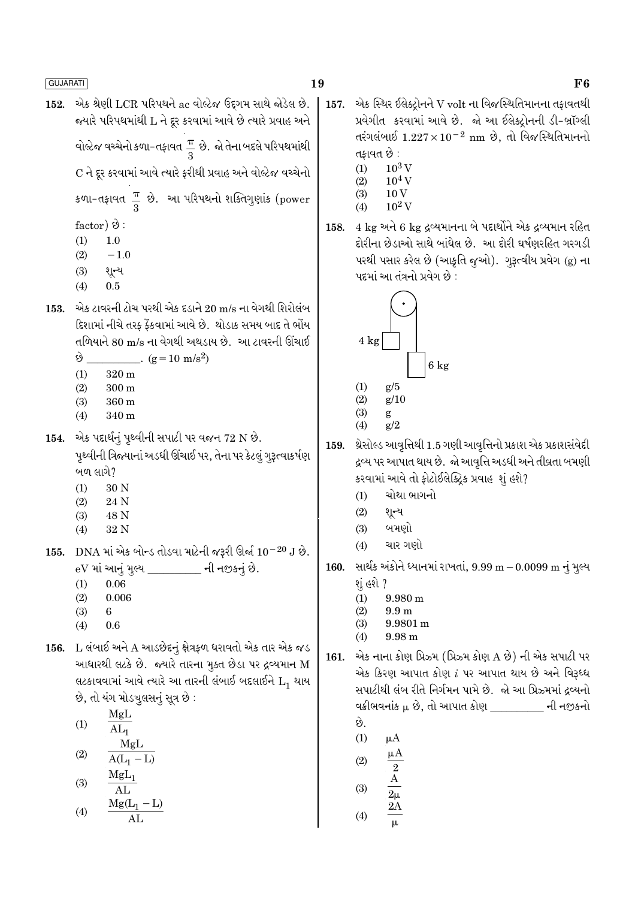- 19
- એક શ્રેણી LCR પરિપથને ac વોલ્ટેજ ઉદગમ સાથે જોડેલ છે. 152. જ્યારે પરિપથમાંથી L ને દૂર કરવામાં આવે છે ત્યારે પ્રવાહ અને વોલ્ટેજ વચ્ચેનો કળા-તફાવત $\frac{\pi}{3}$  છે. જો તેના બદલે પરિપથમાંથી C ને દૂર કરવામાં આવે ત્યારે કરીથી પ્રવાહ અને વોલ્ટેજ વચ્ચેનો

કળા-તફાવત  $\frac{\pi}{3}$  છે. આ પરિપથનો શક્તિગુણાંક (power

factor)  $\Theta$ :

- $(1)$  $1.0$
- $(2)$  $-1.0$
- શૂન્ય  $(3)$
- $(4)$  $0.5$
- એક ટાવરની ટોચ પરથી એક દડાને 20 m/s ના વેગથી શિરોલંબ 153. દિશામાં નીચે તરક કેંકવામાં આવે છે. થોડાક સમય બાદ તે ભોંય તળિયાને 80 m/s ના વેગથી અથડાય છે. આ ટાવરની ઊંચાઈ

 $\dot{\vartheta}$  . (g = 10 m/s<sup>2</sup>)

- $320 \text{ m}$  $(1)$
- $(2)$  $300<sub>m</sub>$
- $(3)$  $360 \text{ m}$
- $(4)$ 340 m
- 154. એક પદાર્થનું પૃથ્વીની સપાટી પર વજન  $72 \text{ N } 8$ . પૃથ્વીની ત્રિજ્યાનાં અડધી ઊંચાઈ પર, તેના પર કેટલું ગુરૂત્વાકર્ષણ બળ લાગે?
	- 30 N  $(1)$
	- 24 N  $(2)$
	- $(3)$ 48 N
	- $(4)$ 32 N
- 155. DNA માં એક બોન્ડ તોડવા માટેની જરૂરી ઊર્જા  $10^{-20}$  J છે. eV માં આનું મુલ્ય \_\_\_\_\_\_\_\_\_ ની નજીકનું છે.
	- 0.06  $(1)$
	- $(2)$  $0.006$
	- $(3)$ 6
	- $(4)$ 0.6
- 156. L લંબાઈ અને A આડછેદનું ક્ષેત્રકળ ધરાવતો એક તાર એક જડ આધારથી લટકે છે. જ્યારે તારના મૂક્ત છેડા પર દ્રવ્યમાન M લટકાવવામાં આવે ત્યારે આ તારની લંબાઈ બદલાઈને  $L_1$  થાય છે, તો યંગ મોડચૂલસનું સૂત્ર છે:
	- MgL  $(1)$  $AL_1$ MgL  $(2)$  $A(L_1 - L)$
	- $MgL_1$  $(3)$  $\overline{AI}$

$$
(4) \qquad \frac{\text{Mg}(L_1 - L)}{\text{AL}}
$$

- એક સ્થિર ઈલેક્ટ્રોનને V volt ના વિજસ્થિતિમાનના તફાવતથી 157. પ્રવેગીત કરવામાં આવે છે. જો આ ઈલેક્ટ્રોનની ડી-બ્રૉગ્લી તરંગલંબાઈ  $1.227 \times 10^{-2}$  nm છે, તો વિજસ્થિતિમાનનો તકાવત છે :
	- $(1)$  $10^3$  V
	- $10^4$  V  $(2)$  $10V$  $(3)$
	- $10^2$  V  $(4)$
- 158. 4 kg અને 6 kg દ્રવ્યમાનના બે પદાર્થોને એક દ્રવ્યમાન રહિત દોરીના છેડાઓ સાથે બાંધેલ છે. આ દોરી ઘર્ષણરહિત ગરગડી પરથી પસાર કરેલ છે (આકૃતિ જુઓ). ગુરૂત્વીય પ્રવેગ (g) ના પદમાં આ તંત્રનો પ્રવેગ છે :



- $(4)$  $g/2$
- 159. થ્રેસોલ્ડ આવૃત્તિથી 1.5 ગણી આવૃત્તિનો પ્રકાશ એક પ્રકાશસંવેદી દ્રવ્ય પર આપાત થાય છે. જો આવૃત્તિ અડધી અને તીવ્રતા બમણી કરવામાં આવે તો ફોટોઈલેક્ટ્રિક પ્રવાહ શું હશે?
	- ચોથા ભાગનો  $(1)$
	- $(2)$ શૃન્ય
	- $(3)$ બમણો
	- ચાર ગણો  $(4)$
- સાર્થક અંકોને ધ્યાનમાં રાખતાં,  $9.99 \text{ m} 0.0099 \text{ m}$  નું મુલ્ય 160. શું હશે ?
	- $(1)$  $9.980 \text{ m}$
	- $(2)$  $9.9<sub>m</sub>$
	- 9.9801 m  $(3)$
	- $(4)$ 9.98 m
- 161. એક નાના કોણ પ્રિઝ્મ (પ્રિઝ્મ કોણ A છે) ની એક સપાટી પર એક કિરણ આપાત કોણ  $i$  પર આપાત થાય છે અને વિરૂધ્ધ સપાટીથી લંબ રીતે નિર્ગમન પામે છે. જો આ પ્રિઝ્મમાં દ્રવ્યનો વક્રીભવનાંક μ છે. તો આપાત કોણ વાસ્તા પાસે ની નજીકનો છે.
	- $(1)$  $\mu A$
	- $\mu A$  $(2)$
	-
	- $(3)$
	- $\frac{2}{2}$   $\frac{A}{2\mu}$   $\frac{2A}{\mu}$  $(4)$

## F<sub>6</sub>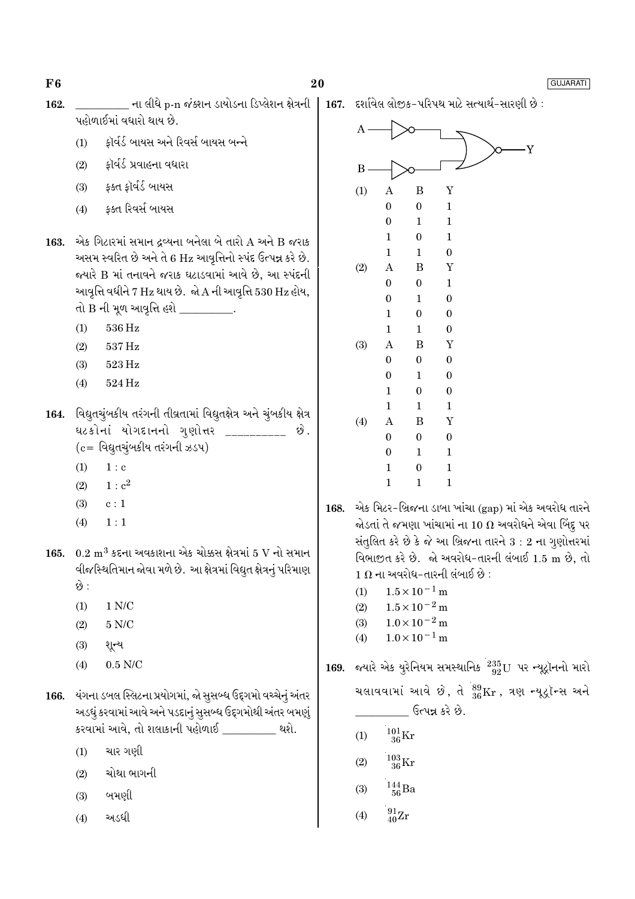20

- \_\_\_\_\_ ના લીધે p-n જંક્શન ડાયોડના ડિપ્લેશન ક્ષેત્રની 162. પહોળાઈમાં વધારો થાય છે.
	- કૉર્વર્ડ બાયસ અને રિવર્સ બાયસ બન્ને  $(1)$
	- કૉર્વર્ડ પ્રવાહના વધારા  $(2)$
	- ફક્ત ફૉર્વર્ડ બાયસ  $(3)$
	- ફક્ત રિવર્સ બાયસ  $(4)$
- 163. એક ગિટારમાં સમાન દ્રવ્યના બનેલા બે તારો  $A$  અને  $B$  જરાક અસમ સ્વરિત છે અને તે 6 Hz આવૃત્તિનો સ્પંદ ઉત્પન્ન કરે છે. જ્યારે B માં તનાવને જરાક ઘટાડવામાં આવે છે, આ સ્પંદની આવૃત્તિ વધીને 7 Hz થાય છે. જો A ની આવૃત્તિ 530 Hz હોય, તો B ની મૂળ આવૃત્તિ હશે \_
	- $(1)$  $536\,\mathrm{Hz}$
	- 537 Hz  $(2)$
	- $523\,\mathrm{Hz}$  $(3)$
	- 524 Hz  $(4)$
- 164. વિદ્યુતચુંબકીય તરંગની તીવ્રતામાં વિદ્યુતક્ષેત્ર અને ચુંબકીય ક્ષેત્ર ઘટકોનાં યોગદાનનો ગુણોત્તર \_\_\_\_\_\_\_\_\_ છે.  $(c = 0.012)$ વિદ્યુતચુંબકીય તરંગની ઝડપ)
	- $1: c$  $(1)$
	- $1: c^2$  $(2)$
	- $(3)$  $c:1$
	- $1:1$  $(4)$
- 165.  $0.2 \text{ m}^3$  કદના અવકાશના એક ચોક્કસ ક્ષેત્રમાં 5 V નો સમાન વીજસ્થિતિમાન જોવા મળે છે. આ ક્ષેત્રમાં વિદ્યુત ક્ષેત્રનું પરિમાણ છે :
	- $1 N/C$  $(1)$
	- $5 N/C$  $(2)$
	- શૂન્ય  $(3)$
	- $0.5$  N/C  $(4)$
- 166. યંગના ડબલ સ્લિટના પ્રયોગમાં, જો સૂસબ્ધ ઉદ્દગમો વચ્ચેનું અંતર અડધું કરવામાં આવે અને પડદાનું સુસબ્ધ ઉદ્દગમોથી અંતર બમણું કરવામાં આવે, તો શલાકાની પહોળાઈ \_\_\_\_\_\_\_\_ થશે.
	- ચાર ગણી  $(1)$
	- ચોથા ભાગની  $(2)$
	- બમણી  $(3)$
	- અડધી  $(4)$



- એક મિટર-બ્રિજના ડાબા ખાંચા (gap) માં એક અવરોધ તારને 168. જોડતાં તે જમણા ખાંચામાં ના 10  $\Omega$  અવરોધને એવા બિંદુ પર સંતુલિત કરે છે કે જે આ બ્રિજના તારને 3 : 2 ના ગુણોત્તરમાં વિભાજીત કરે છે. જો અવરોધ-તારની લંબાઈ 1.5 m છે. તો  $1 \Omega$  ના અવરોધ-તારની લંબાઈ છે :
	- $1.5 \times 10^{-1}$  m  $(1)$
	- $1.5 \times 10^{-2}$  m  $(2)$
	- $1.0 \times 10^{-2}$  m  $(3)$  $1.0 \times 10^{-1}$  m  $(4)$
	-
- જ્યારે એક યુરેનિયમ સમસ્થાનિક  $^{235}_{92}$ U પર ન્યૂટ્રૉનનો મારો 169. ચલાવવામાં આવે છે, તે  $^{89}_{36}\text{Kr}$ , ત્રણ ન્યૂટ્રૉન્સ અને ઉત્પન્ન કરે છે.
	- $^{101}_{36}\mathrm{Kr}$  $(1)$
	- $^{103}_{36}$ Kr  $(2)$
	- $^{144}_{\phantom{1}56}Ba$  $(3)$
	- $^{91}_{40}Zr$  $(4)$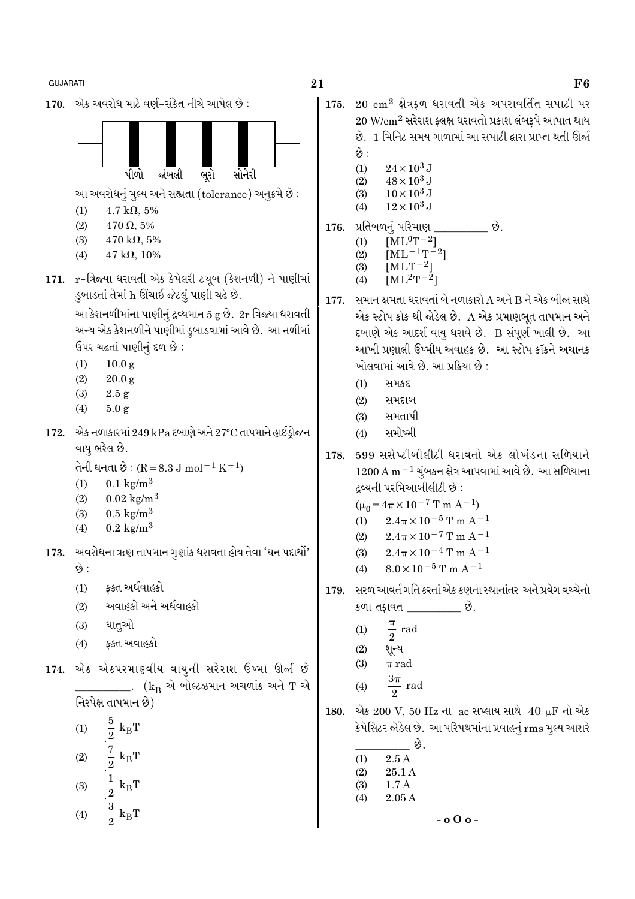

$$
(4) \qquad \frac{3}{2} \text{ k}_{\text{B}} \text{T}
$$

21

- 175.  $20 \text{ cm}^2$  ક્ષેત્રફળ ધરાવતી એક અપરાવર્તિત સપાટી પર  $20 \text{ W/cm}^2$  સરેરાશ ફ્લક્ષ ધરાવતો પ્રકાશ લંબરૂપે આપાત થાય છે. 1 મિનિટ સમય ગાળામાં આ સપાટી દ્વારા પ્રાપ્ત થતી ઊર્જા છે :
	- $(1)$  $24 \times 10^3$  J
	- $48 \times 10^3$  J  $(2)$
	- $10 \times 10^3$  J  $(3)$
	- $12\times10^3$  J  $(4)$

$$
176. \, \text{Vldu01} \, \text{Vldu0} \, \text{Vldu0}
$$

- $[\rm ML^0T^{-2}]$  $(1)$
- $[ML^{-1}T^{-2}]$  $(2)$  $(3)$
- $[MLT^{-2}]$  $[ML^2T^{-2}]$  $(4)$
- સમાન ક્ષમતા ધરાવતાં બે નળાકારો A અને B ને એક બીજા સાથે 177. એક સ્ટોપ કૉક થી જોડેલ છે. A એક પ્રમાણભુત તાપમાન અને દબાણે એક આદર્શ વાયુ ધરાવે છે. B સંપૂર્ણ ખાલી છે. આ આખી પ્રણાલી ઉષ્મીય અવાહક છે. આ સ્ટોપ કૉકને અચાનક ખોલવામાં આવે છે. આ પ્રક્રિયા છે :
	- સમકદ  $(1)$
	- $(2)$ સમદાબ
	- સમતાપી  $(3)$
	- સમોષ્મી  $(4)$
- 599 સસેપ્ટીબીલીટી ધરાવતો એક લોખંડના સળિયાને 178.  $1200\,\mathrm{A\,m^{-1}}$  ચુંબકન ક્ષેત્ર આપવામાં આવે છે. આ સળિયાના દ્રવ્યની પરમિઆબીલીટી છે :
	- $(\mu_0 = 4\pi \times 10^{-7} \text{ T m A}^{-1})$
	- $2.4\pi \times 10^{-5}$  T m A<sup>-1</sup>  $(1)$
	- $2.4\pi \times 10^{-7}$  T m A<sup>-1</sup>  $(2)$
	- $2.4\pi \times 10^{-4}$  T m A<sup>-1</sup>  $(3)$
	- $8.0 \times 10^{-5}$  T m A<sup>-1</sup>  $(4)$
- સરળ આવર્ત ગતિ કરતાં એક કણના સ્થાનાંતર અને પ્રવેગ વચ્ચેનો 179. કળા તફાવત \_\_\_\_\_\_\_\_\_\_ છે.
	- $\frac{\pi}{2}$  rad  $(1)$
	- $(2)$ શૂન્ય

$$
(3) \qquad \pi \text{ rad}
$$

- rad  $(4)$
- 180. એક 200 V, 50 Hz ના ac સપ્લાય સાથે 40 μF નો એક કેપેસિટર જોડેલ છે. આ પરિપથમાંના પ્રવાહનું rms મુલ્ય આશરે
	- છે.  $2.5A$  $(1)$ 25.1 A  $(2)$  $1.7A$  $(3)$  $2.05A$  $(4)$

$$
-0.000
$$

### ${\bf F6}$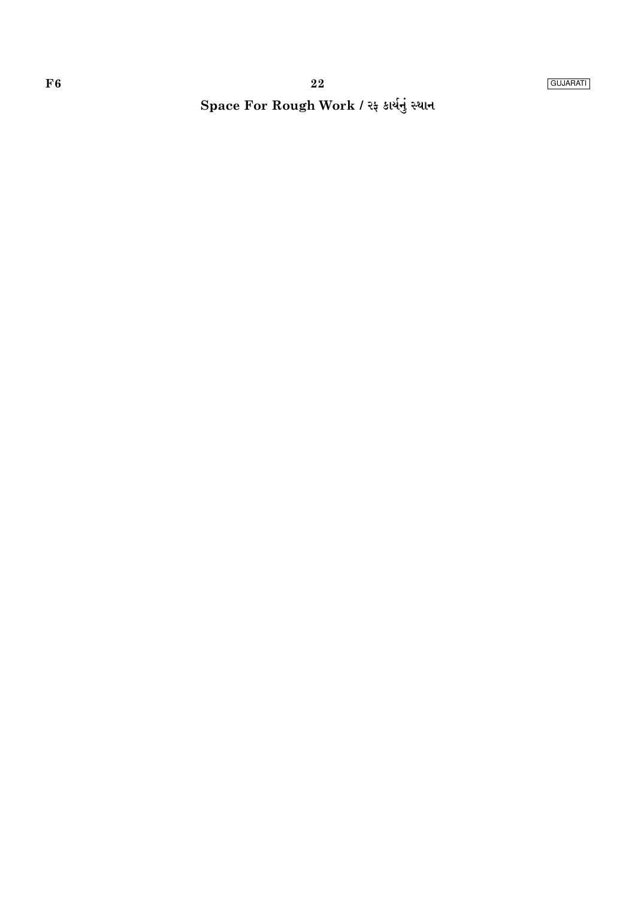## Space For Rough Work / રફ કાર્યનું સ્થાન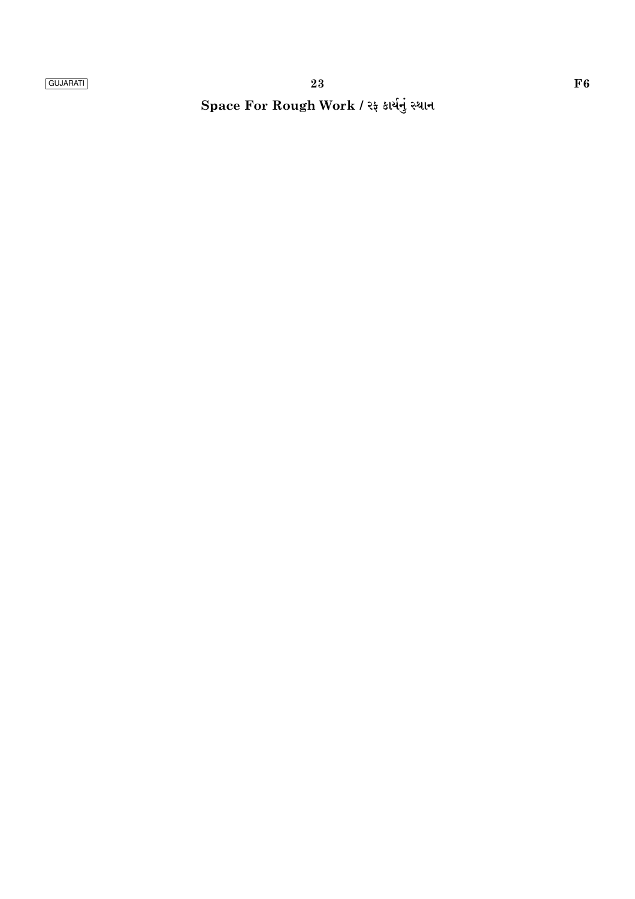Space For Rough Work / રફ કાર્યનું સ્થાન